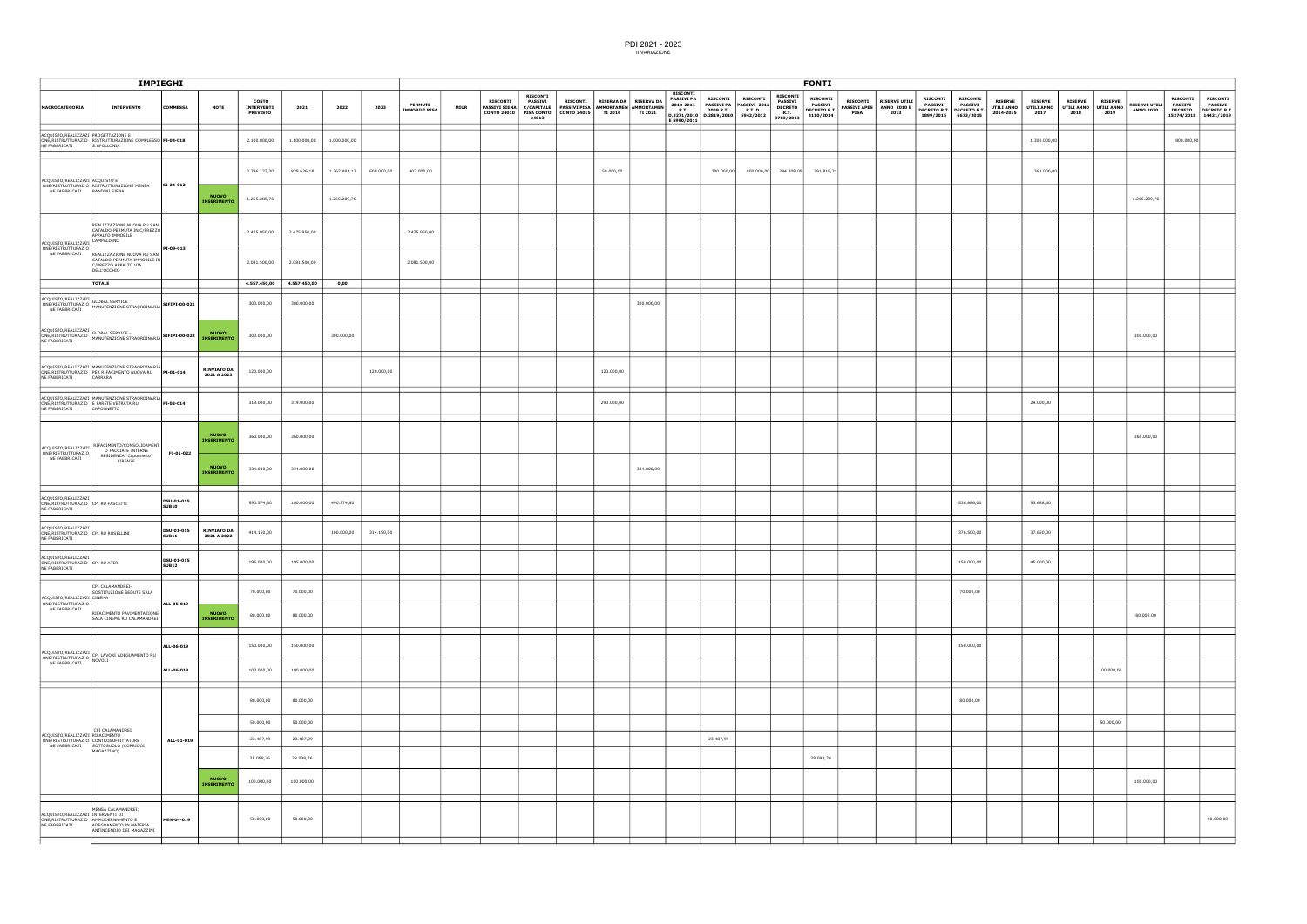|                                                                             | <b>IMPIEGHI</b>                                                                                                                                                       |                            |                                    |                                               |                         |              |            |                                        |             |                                                        |                                                                               |                                                                             |                                           |                |                                                                                 |                              | <b>FONTI</b>                                                 |                                              |                                                                       |                                |                                                            |                                                                       |                                                                       |                                           |                                      |                                      |                                      |                                           |                                                 |                                                                        |
|-----------------------------------------------------------------------------|-----------------------------------------------------------------------------------------------------------------------------------------------------------------------|----------------------------|------------------------------------|-----------------------------------------------|-------------------------|--------------|------------|----------------------------------------|-------------|--------------------------------------------------------|-------------------------------------------------------------------------------|-----------------------------------------------------------------------------|-------------------------------------------|----------------|---------------------------------------------------------------------------------|------------------------------|--------------------------------------------------------------|----------------------------------------------|-----------------------------------------------------------------------|--------------------------------|------------------------------------------------------------|-----------------------------------------------------------------------|-----------------------------------------------------------------------|-------------------------------------------|--------------------------------------|--------------------------------------|--------------------------------------|-------------------------------------------|-------------------------------------------------|------------------------------------------------------------------------|
| <b>MACROCATEGORIA</b>                                                       | <b>INTERVENTO</b>                                                                                                                                                     | <b>COMMESSA</b>            | <b>NOTE</b>                        | <b>COSTO</b><br>INTERVENTI<br><b>PREVISTO</b> | 2021                    | 2022         | 2023       | <b>PERMUTE</b><br><b>IMMOBILI PISA</b> | <b>MIUR</b> | <b>RISCONTI</b><br><b>PASSIVI SIENA</b><br>CONTO 24010 | <b>RISCONTI</b><br>PASSIVI<br><b>C/CAPITALE</b><br><b>PISA CONTO</b><br>24013 | <b>RISCONTI</b><br>PASSIVI PISA AMMORTAMEN AMMORTAMEN<br><b>CONTO 24015</b> | RISERVA DA   RISERVA DA<br><b>TI 2016</b> | <b>TI 2021</b> | <b>RISCONTI</b><br><b>PASSIVI PA</b><br>2010-2011<br><b>R.T.</b><br>E 5990/2011 | <b>RISCONTI</b><br>2009 R.T. | <b>RISCONTI</b><br>PASSIVI PA PASSIVI 2012<br><b>R.T. D.</b> | <b>RISCONTI</b><br>PASSIVI<br><b>DECRETO</b> | <b>RISCONTI</b><br><b>PASSIVI</b><br><b>DECRETO R.T.</b><br>4110/2014 | <b>RISCONTI</b><br><b>PISA</b> | <b>RISERVE UTILI</b><br>PASSIVI APES   ANNO 2010 E<br>2013 | <b>RISCONTI</b><br><b>PASSIVI</b><br><b>DECRETO R.T.</b><br>1899/2015 | <b>RISCONTI</b><br><b>PASSIVI</b><br><b>DECRETO R.T.</b><br>6673/2015 | <b>RISERVE</b><br>UTILI ANNO<br>2014-2015 | <b>RISERVE</b><br>UTILI ANNO<br>2017 | <b>RISERVE</b><br>UTILI ANNO<br>2018 | <b>RISERVE</b><br>UTILI ANNO<br>2019 | RISERVE UTILI PASSIVI<br><b>ANNO 2020</b> | <b>RISCONTI</b><br><b>DECRETO</b><br>15274/2018 | <b>RISCONTI</b><br><b>PASSIVI</b><br><b>DECRETO R.T.</b><br>14421/2019 |
| NE FABBRICATI                                                               | ACQUISTO/REALIZZAZI PROGETTAZIONE E<br>ONE/RISTRUTTURAZIO RISTRUTTURAZIONE COMPLESSO FI-04-018<br>S.APOLLONIA                                                         |                            |                                    | 2.100.000,00                                  | 1.100.000,00            | 1.000.000,00 |            |                                        |             |                                                        |                                                                               |                                                                             |                                           |                |                                                                                 |                              |                                                              |                                              |                                                                       |                                |                                                            |                                                                       |                                                                       |                                           | 1.300.000,00                         |                                      |                                      |                                           | 800.000,00                                      |                                                                        |
| ACQUISTO/REALIZZAZI ACQUISTO E                                              |                                                                                                                                                                       | SI-24-012                  |                                    | 2.796.127,30                                  | 828.636,18              | 1.367.491,12 | 600.000,00 | 407.000,00                             |             |                                                        |                                                                               |                                                                             | 50.000,00                                 |                |                                                                                 | 200.000,00                   | 800.000,00                                                   |                                              | 284.308,09 791.819,21                                                 |                                |                                                            |                                                                       |                                                                       |                                           | 263.000,00                           |                                      |                                      |                                           |                                                 |                                                                        |
| NE FABBRICATI                                                               | ONE/RISTRUTTURAZIO RISTRUTTURAZIONE MENSA<br>BANDINI SIENA                                                                                                            |                            | NUOVO<br>INSERIMENTO               | 1.265.289,76                                  |                         | 1.265.289,76 |            |                                        |             |                                                        |                                                                               |                                                                             |                                           |                |                                                                                 |                              |                                                              |                                              |                                                                       |                                |                                                            |                                                                       |                                                                       |                                           |                                      |                                      |                                      | 1.265.289,76                              |                                                 |                                                                        |
| ACQUISTO/REALIZZAZ                                                          | REALIZZAZIONE NUOVA RU SAN<br>CATALDO-PERMUTA IN C/PREZZO<br>APPALTO IMMOBILE<br>CAMPALDINO                                                                           |                            |                                    | 2.475.950,00                                  | 2.475.950,00            |              |            | 2.475.950,00                           |             |                                                        |                                                                               |                                                                             |                                           |                |                                                                                 |                              |                                                              |                                              |                                                                       |                                |                                                            |                                                                       |                                                                       |                                           |                                      |                                      |                                      |                                           |                                                 |                                                                        |
| ONE/RISTRUTTURAZIO<br>NE FABBRICATI                                         | REALIZZAZIONE NUOVA RU SAN<br>CATALDO-PERMUTA IMMOBILE IN<br>C/PREZZO APPALTO VIA<br>DELL'OCCHIO                                                                      | PI-09-013                  |                                    | 2.081.500,00                                  | 2.081.500,00            |              |            | 2.081.500,00                           |             |                                                        |                                                                               |                                                                             |                                           |                |                                                                                 |                              |                                                              |                                              |                                                                       |                                |                                                            |                                                                       |                                                                       |                                           |                                      |                                      |                                      |                                           |                                                 |                                                                        |
|                                                                             | <b>TOTALE</b>                                                                                                                                                         |                            |                                    | 4.557.450,00                                  | 4.557.450,00            | 0,00         |            |                                        |             |                                                        |                                                                               |                                                                             |                                           |                |                                                                                 |                              |                                                              |                                              |                                                                       |                                |                                                            |                                                                       |                                                                       |                                           |                                      |                                      |                                      |                                           |                                                 |                                                                        |
| ACQUISTO/REALIZZAZI<br>NE FABBRICATI                                        | ACQUISTO/REALIZZAZI<br>ONE/RISTRUTTURAZIO<br>MANUTENZIONE STRAORDINARIA                                                                                               | SIFIPI-00-021              |                                    | 300.000,00                                    | 300.000,00              |              |            |                                        |             |                                                        |                                                                               |                                                                             |                                           | 300.000,00     |                                                                                 |                              |                                                              |                                              |                                                                       |                                |                                                            |                                                                       |                                                                       |                                           |                                      |                                      |                                      |                                           |                                                 |                                                                        |
| ACQUISTO/REALIZZAZI<br>NE FABBRICATI                                        | ACQUISTOREALIZZAZI<br>ONE/RISTRUTTURAZIO MANUTENZIONE STRAORDINARIA SIFIPI-00-022                                                                                     |                            | <b>NUOVO</b><br><b>INSERIMENTO</b> | 300.000,00                                    |                         | 300.000,00   |            |                                        |             |                                                        |                                                                               |                                                                             |                                           |                |                                                                                 |                              |                                                              |                                              |                                                                       |                                |                                                            |                                                                       |                                                                       |                                           |                                      |                                      |                                      | 300.000,00                                |                                                 |                                                                        |
| NE FABBRICATI                                                               | ACQUISTO/REALIZZAZI MANUTENZIONE STRAORDINARIA<br>ONE/RISTRUTTURAZIO PER RIFACIMENTO NUOVA RU PI-01-014<br>CARRARA                                                    |                            | <b>RINVIATO DA</b><br>2021 A 2023  | 120.000,00                                    |                         |              | 120.000,00 |                                        |             |                                                        |                                                                               |                                                                             | 120.000,00                                |                |                                                                                 |                              |                                                              |                                              |                                                                       |                                |                                                            |                                                                       |                                                                       |                                           |                                      |                                      |                                      |                                           |                                                 |                                                                        |
| NE FABBRICATI                                                               | ACQUISTO/REALIZZAZI MANUTENZIONE STRAORDINARIA<br>ONE/RISTRUTTURAZIO E PARETE VETRATA RU<br>CAPONNETTO                                                                | FI-02-014                  |                                    | 319.000,00                                    | 319.000,00              |              |            |                                        |             |                                                        |                                                                               |                                                                             | 290.000,00                                |                |                                                                                 |                              |                                                              |                                              |                                                                       |                                |                                                            |                                                                       |                                                                       |                                           | 29.000,00                            |                                      |                                      |                                           |                                                 |                                                                        |
| ACQUISTO/REALIZZAZ                                                          | RIFACIMENTO/CONSOLIDAMENT<br>O FACCIATE INTERNE                                                                                                                       |                            | <b>NUOVO</b><br><b>INSERIMENTO</b> | 360.000,00                                    | 360.000,00              |              |            |                                        |             |                                                        |                                                                               |                                                                             |                                           |                |                                                                                 |                              |                                                              |                                              |                                                                       |                                |                                                            |                                                                       |                                                                       |                                           |                                      |                                      |                                      | 360.000,00                                |                                                 |                                                                        |
| ONE/RISTRUTTURAZIO<br>NE FABBRICATI                                         | RESIDENZA "Caponnetto"<br>FIRENZE                                                                                                                                     | FI-01-022                  | <b>NUOVO</b><br><b>INSERIMENTO</b> | 334.000,00                                    | 334.000,00              |              |            |                                        |             |                                                        |                                                                               |                                                                             |                                           | 334.000,00     |                                                                                 |                              |                                                              |                                              |                                                                       |                                |                                                            |                                                                       |                                                                       |                                           |                                      |                                      |                                      |                                           |                                                 |                                                                        |
| ACQUISTO/REALIZZAZ<br>ONE/RISTRUTTURAZIO<br>NE FABBRICATI                   | CPI RU FASCETTI                                                                                                                                                       | DSU-01-015<br><b>SUB10</b> |                                    | 590.574,60                                    | 100.000,00              | 490.574,60   |            |                                        |             |                                                        |                                                                               |                                                                             |                                           |                |                                                                                 |                              |                                                              |                                              |                                                                       |                                |                                                            |                                                                       | 536.886,00                                                            |                                           | 53.688,60                            |                                      |                                      |                                           |                                                 |                                                                        |
| ACQUISTO/REALIZZAZI<br>ONE/RISTRUTTURAZIO CPI RU ROSELLINI<br>NE FABBRICATI |                                                                                                                                                                       | DSU-01-015<br><b>SUB11</b> | <b>RINVIATO DA</b><br>2021 A 2022  | 414.150,00                                    |                         | 100.000,00   | 314.150,00 |                                        |             |                                                        |                                                                               |                                                                             |                                           |                |                                                                                 |                              |                                                              |                                              |                                                                       |                                |                                                            |                                                                       | 376.500,00                                                            |                                           | 37.650,00                            |                                      |                                      |                                           |                                                 |                                                                        |
| ACQUISTO/REALIZZAZI<br>ONE/RISTRUTTURAZIO CPI RU ATER<br>NE FABBRICATI      |                                                                                                                                                                       | DSU-01-015<br><b>SUB12</b> |                                    | 195.000,00                                    | 195.000,00              |              |            |                                        |             |                                                        |                                                                               |                                                                             |                                           |                |                                                                                 |                              |                                                              |                                              |                                                                       |                                |                                                            |                                                                       | 150.000,00                                                            |                                           | 45.000,00                            |                                      |                                      |                                           |                                                 |                                                                        |
| ACQUISTO/REALIZZAZI CINEMA<br>ONE/RISTRUTTURAZIO                            | CPI CALAMANDREI-<br>SOSTITUZIONE SEDUTE SALA                                                                                                                          | $-$ ALL-05-019             |                                    | 70.000,00                                     | 70.000,00               |              |            |                                        |             |                                                        |                                                                               |                                                                             |                                           |                |                                                                                 |                              |                                                              |                                              |                                                                       |                                |                                                            |                                                                       | 70.000,00                                                             |                                           |                                      |                                      |                                      |                                           |                                                 |                                                                        |
| NE FABBRICATI                                                               | RIFACIMENTO PAVIMENTAZIONE<br>SALA CINEMA RU CALAMANDREI                                                                                                              |                            | <b>NUOVO</b><br><b>INSERIMENTO</b> | 80.000,00                                     | 80.000,00               |              |            |                                        |             |                                                        |                                                                               |                                                                             |                                           |                |                                                                                 |                              |                                                              |                                              |                                                                       |                                |                                                            |                                                                       |                                                                       |                                           |                                      |                                      |                                      | 80.000,00                                 |                                                 |                                                                        |
|                                                                             | $\left \begin{array}{l}\texttt{ACQUISTO/REALIZAZI}\\ \texttt{ONE/RISTRUTURAZIO}\\ \texttt{NE} \texttt{CABBDICATI}\\ \texttt{NOVOLI}\end{array}\right \texttt{NOVOLI}$ | ALL-06-019                 |                                    | 150.000,00                                    | 150.000,00              |              |            |                                        |             |                                                        |                                                                               |                                                                             |                                           |                |                                                                                 |                              |                                                              |                                              |                                                                       |                                |                                                            |                                                                       | 150.000,00                                                            |                                           |                                      |                                      |                                      |                                           |                                                 |                                                                        |
| NE FABBRICATI                                                               |                                                                                                                                                                       | ALL-06-019                 |                                    | 100.000,00                                    | 100.000,00              |              |            |                                        |             |                                                        |                                                                               |                                                                             |                                           |                |                                                                                 |                              |                                                              |                                              |                                                                       |                                |                                                            |                                                                       |                                                                       |                                           |                                      |                                      | 100.000,00                           |                                           |                                                 |                                                                        |
|                                                                             |                                                                                                                                                                       |                            |                                    | 80.000,00                                     | 80.000,00               |              |            |                                        |             |                                                        |                                                                               |                                                                             |                                           |                |                                                                                 |                              |                                                              |                                              |                                                                       |                                |                                                            |                                                                       | 80.000,00                                                             |                                           |                                      |                                      |                                      |                                           |                                                 |                                                                        |
|                                                                             |                                                                                                                                                                       |                            |                                    | 50.000,00                                     | 50.000,00               |              |            |                                        |             |                                                        |                                                                               |                                                                             |                                           |                |                                                                                 |                              |                                                              |                                              |                                                                       |                                |                                                            |                                                                       |                                                                       |                                           |                                      |                                      | 50.000,00                            |                                           |                                                 |                                                                        |
| ACQUISTO/REALIZZAZI RIFACIMENTO<br>NE FABBRICATI                            | CPI CALAMANDREI<br>ONE/RISTRUTTURAZIO CONTROSOFFITTATURE<br>SOTTOSUOLO (CORRIDOI<br>MAGAZZINO)                                                                        | ALL-01-019                 |                                    | 23.487,99                                     | 23.487,99               |              |            |                                        |             |                                                        |                                                                               |                                                                             |                                           |                |                                                                                 | 23.487,99                    |                                                              |                                              |                                                                       |                                |                                                            |                                                                       |                                                                       |                                           |                                      |                                      |                                      |                                           |                                                 |                                                                        |
|                                                                             |                                                                                                                                                                       |                            | NUOVO<br>INSERIMENTO               | 28.098,76<br>100.000,00                       | 28.098,76<br>100.000,00 |              |            |                                        |             |                                                        |                                                                               |                                                                             |                                           |                |                                                                                 |                              |                                                              |                                              | 28.098,76                                                             |                                |                                                            |                                                                       |                                                                       |                                           |                                      |                                      |                                      | 100.000,00                                |                                                 |                                                                        |
|                                                                             |                                                                                                                                                                       |                            |                                    |                                               |                         |              |            |                                        |             |                                                        |                                                                               |                                                                             |                                           |                |                                                                                 |                              |                                                              |                                              |                                                                       |                                |                                                            |                                                                       |                                                                       |                                           |                                      |                                      |                                      |                                           |                                                 |                                                                        |
| ACQUISTO/REALIZZAZI INTERVENTI DI<br>NE FABBRICATI                          | MENSA CALAMANDREI:<br>ONE/RISTRUTTURAZIO AMMODERNAMENTO E<br>ADEGUAMENTO IN MATERIA<br>ANTINCENDIO DEI MAGAZZINI                                                      | MEN-04-019                 |                                    | 50.000,00                                     | 50.000,00               |              |            |                                        |             |                                                        |                                                                               |                                                                             |                                           |                |                                                                                 |                              |                                                              |                                              |                                                                       |                                |                                                            |                                                                       |                                                                       |                                           |                                      |                                      |                                      |                                           |                                                 | 50.000,00                                                              |
|                                                                             |                                                                                                                                                                       |                            |                                    |                                               |                         |              |            |                                        |             |                                                        |                                                                               |                                                                             |                                           |                |                                                                                 |                              |                                                              |                                              |                                                                       |                                |                                                            |                                                                       |                                                                       |                                           |                                      |                                      |                                      |                                           |                                                 |                                                                        |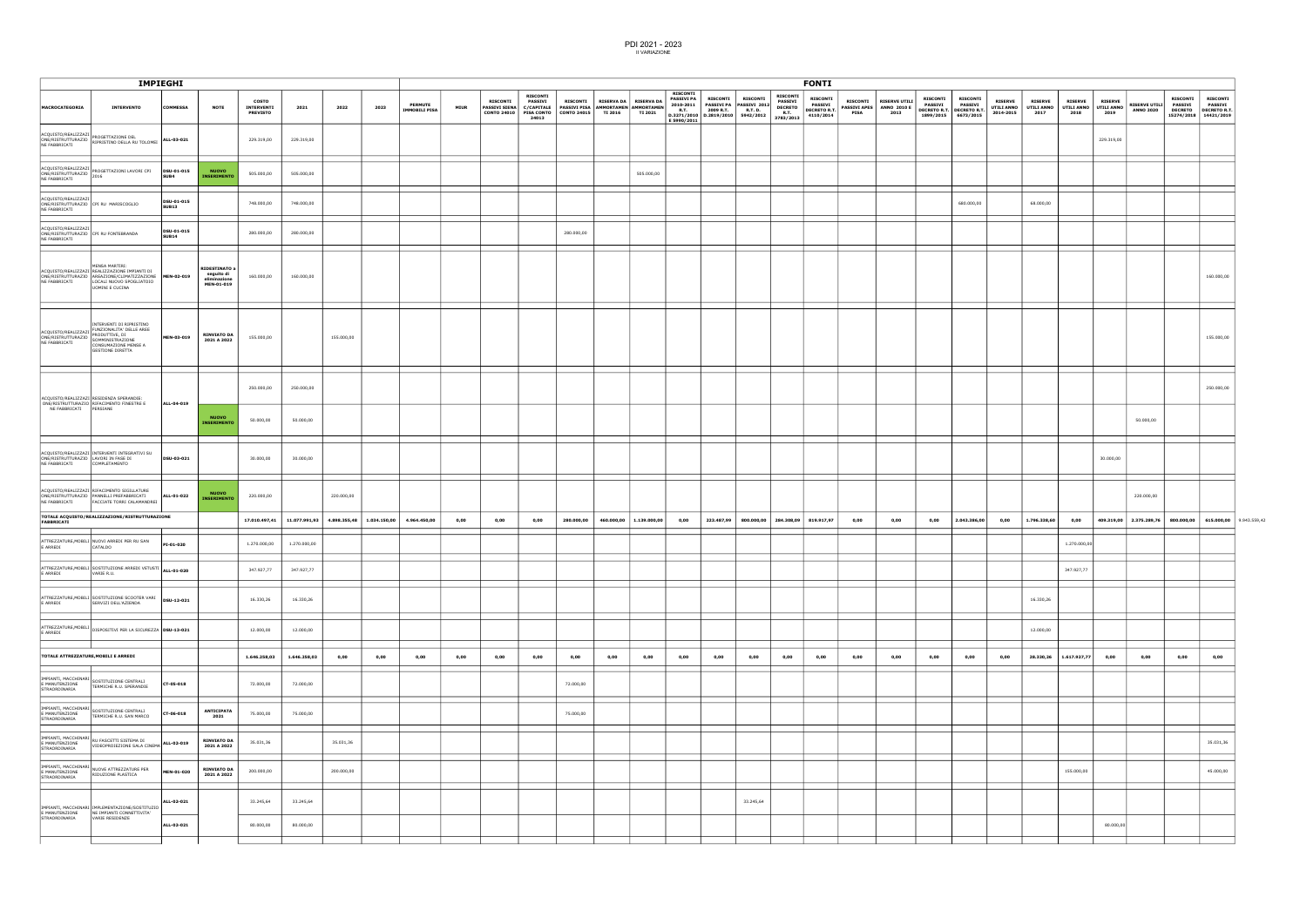|                                      |                                                                                                                                                                           | <b>IMPIEGHI</b>            |                                                                  |                                               |               |            |                           |                                        |             |                                                                   |                                                                 |                                                                                               |      |                         |                                                                    |                                      |                                                                                                   |                                                                          | <b>FONTI</b>                                                   |                                |                                                                 |                                        |                 |                             |                        |                                                                                                                  |                        |                                          |                                                                              |                                                   |
|--------------------------------------|---------------------------------------------------------------------------------------------------------------------------------------------------------------------------|----------------------------|------------------------------------------------------------------|-----------------------------------------------|---------------|------------|---------------------------|----------------------------------------|-------------|-------------------------------------------------------------------|-----------------------------------------------------------------|-----------------------------------------------------------------------------------------------|------|-------------------------|--------------------------------------------------------------------|--------------------------------------|---------------------------------------------------------------------------------------------------|--------------------------------------------------------------------------|----------------------------------------------------------------|--------------------------------|-----------------------------------------------------------------|----------------------------------------|-----------------|-----------------------------|------------------------|------------------------------------------------------------------------------------------------------------------|------------------------|------------------------------------------|------------------------------------------------------------------------------|---------------------------------------------------|
| MACROCATEGORIA                       | <b>INTERVENTO</b>                                                                                                                                                         | <b>COMMESSA</b>            | <b>NOTE</b>                                                      | <b>COSTO</b><br>INTERVENTI<br><b>PREVISTO</b> | 2021          | 2022       | 2023                      | <b>PERMUTE</b><br><b>IMMOBILI PISA</b> | <b>MIUR</b> | <b>RISCONTI</b><br>PASSIVI SIENA C/CAPITALE<br><b>CONTO 24010</b> | <b>RISCONTI</b><br><b>PASSIVI</b><br><b>PISA CONTO</b><br>24013 | RISCONTI RISERVA DA RISERVA DA<br>PASSIVI PISA AMMORTAMEN AMMORTAMEN<br>CONTO 24015   TI 2016 |      | <b>TI 2021</b>          | <b>RISCONTI</b><br><b>PASSIVI PA</b><br><b>R.T.</b><br>E 5990/2011 | <b>RISCONTI</b><br>2009 R.T. R.T. D. | <b>RISCONTI</b><br>2010-2011   PASSIVI PA   PASSIVI 2012<br>$D.3271/2010$ $D.2819/2010$ 5942/2012 | <b>RISCONTI</b><br>PASSIVI<br><b>DECRETO</b><br><b>R.T.</b><br>3783/2013 | <b>RISCONTI</b><br><b>PASSIVI</b><br>DECRETO R.T.<br>4110/2014 | <b>RISCONTI</b><br><b>PISA</b> | <b>RISERVE UTILI</b><br><b>PASSIVI APES</b> ANNO 2010 E<br>2013 | <b>RISCONTI</b><br>1899/2015 6673/2015 | <b>RISCONTI</b> | <b>RISERVE</b><br>2014-2015 | <b>RISERVE</b><br>2017 | <b>RISERVE</b><br>PASSIVI PASSIVI THE MARINE THE MARINE THE RESERVE DECRETO R.T. DECRETO R.T. UTILI ANNO<br>2018 | <b>RISERVE</b><br>2019 | <b>RISERVE UTILI</b><br><b>ANNO 2020</b> | <b>RISCONTI</b><br><b>PASSIVI</b><br><b>DECRETO</b><br>15274/2018 14421/2019 | <b>RISCONTI</b><br>PASSIVI<br><b>DECRETO R.T.</b> |
|                                      | ACQUISTO/REALIZZAZI<br>ONE/RISTRUTTURAZIO RIPRISTINO DELLA RU TOLOMEI <b>ALL-03-021</b><br>--- caproscati                                                                 |                            |                                                                  | 229.319,00                                    | 229.319,00    |            |                           |                                        |             |                                                                   |                                                                 |                                                                                               |      |                         |                                                                    |                                      |                                                                                                   |                                                                          |                                                                |                                |                                                                 |                                        |                 |                             |                        |                                                                                                                  | 229.319,00             |                                          |                                                                              |                                                   |
|                                      | ACQUISTO/REALIZZAZI<br>ONE/RISTRUTTURAZIO PROGETTAZIONI LAVORI CPI<br>CONCLETE 2016                                                                                       | DSU-01-015<br>SUB4         | <b>NUOVO</b><br><b>INSERIMENTO</b>                               | 505.000,00                                    | 505.000,00    |            |                           |                                        |             |                                                                   |                                                                 |                                                                                               |      | 505.000,00              |                                                                    |                                      |                                                                                                   |                                                                          |                                                                |                                |                                                                 |                                        |                 |                             |                        |                                                                                                                  |                        |                                          |                                                                              |                                                   |
| ACQUISTO/REALIZZAZI<br>NE FABBRICATI | ONE/RISTRUTTURAZIO CPI RU MARISCOGLIO                                                                                                                                     | DSU-01-015<br><b>SUB13</b> |                                                                  | 748.000,00                                    | 748.000,00    |            |                           |                                        |             |                                                                   |                                                                 |                                                                                               |      |                         |                                                                    |                                      |                                                                                                   |                                                                          |                                                                |                                |                                                                 |                                        | 680.000,00      |                             | 68.000,00              |                                                                                                                  |                        |                                          |                                                                              |                                                   |
| ACQUISTO/REALIZZAZI<br>NE FABBRICATI | ONE/RISTRUTTURAZIO CPI RU FONTEBRANDA                                                                                                                                     | DSU-01-015<br><b>SUB14</b> |                                                                  | 280.000,00                                    | 280.000,00    |            |                           |                                        |             |                                                                   |                                                                 | 280.000,00                                                                                    |      |                         |                                                                    |                                      |                                                                                                   |                                                                          |                                                                |                                |                                                                 |                                        |                 |                             |                        |                                                                                                                  |                        |                                          |                                                                              |                                                   |
| NE FABBRICATI                        | MENSA MARTIRI:<br>ACQUISTO/REALIZZAZI REALIZZAZIONE IMPIANTI DI<br>ONE/RISTRUTTURAZIO AREAZIONE/CLIMATIZZAZIONE MEN-02-019<br>LOCALI NUOVO SPOGLIATOIO<br>UOMINI E CUCINA |                            | <b>RIDESTINATO a</b><br>seguito di<br>eliminazione<br>MEN-01-019 | 160.000,00                                    | 160.000,00    |            |                           |                                        |             |                                                                   |                                                                 |                                                                                               |      |                         |                                                                    |                                      |                                                                                                   |                                                                          |                                                                |                                |                                                                 |                                        |                 |                             |                        |                                                                                                                  |                        |                                          |                                                                              | 160.000,00                                        |
| ONE/RISTRUTTURAZIO<br>NE FABBRICATI  | INTERVENTI DI RIPRISTINO<br>ACQUISTO/REALIZZAZI FUNZIONALITA' DELLE AREE<br>SOMMINISTRAZIONE<br>CONSUMAZIONE MENSE A<br><b>GESTIONE DIRETTA</b>                           | MEN-03-019                 | <b>RINVIATO DA</b><br>2021 A 2022                                | 155.000,00                                    |               | 155.000,00 |                           |                                        |             |                                                                   |                                                                 |                                                                                               |      |                         |                                                                    |                                      |                                                                                                   |                                                                          |                                                                |                                |                                                                 |                                        |                 |                             |                        |                                                                                                                  |                        |                                          |                                                                              | 155.000,00                                        |
|                                      | ACQUISTO/REALIZZAZI RESIDENZA SPERANDIE:<br>ONE/RISTRUTTURAZIO RIFACIMENTO FINESTRE E                                                                                     | ALL-04-019                 |                                                                  | 250.000,00                                    | 250.000,00    |            |                           |                                        |             |                                                                   |                                                                 |                                                                                               |      |                         |                                                                    |                                      |                                                                                                   |                                                                          |                                                                |                                |                                                                 |                                        |                 |                             |                        |                                                                                                                  |                        |                                          |                                                                              | 250.000,00                                        |
| NE FABBRICATI PERSIANE               |                                                                                                                                                                           |                            | <b>NUOVO</b><br><b>INSERIMENTO</b>                               | 50.000,00                                     | 50.000,00     |            |                           |                                        |             |                                                                   |                                                                 |                                                                                               |      |                         |                                                                    |                                      |                                                                                                   |                                                                          |                                                                |                                |                                                                 |                                        |                 |                             |                        |                                                                                                                  |                        | 50.000,00                                |                                                                              |                                                   |
| NE FABBRICATI                        | ACQUISTO/REALIZZAZI INTERVENTI INTEGRATIVI SU<br>ONE/RISTRUTTURAZIO LAVORI IN FASE DI<br>COMPLETAMENTO                                                                    | DSU-03-021                 |                                                                  | 30.000,00                                     | 30.000,00     |            |                           |                                        |             |                                                                   |                                                                 |                                                                                               |      |                         |                                                                    |                                      |                                                                                                   |                                                                          |                                                                |                                |                                                                 |                                        |                 |                             |                        |                                                                                                                  | 30.000,00              |                                          |                                                                              |                                                   |
| NE FABBRICATI                        | ACQUISTO/REALIZZAZI RIFACIMENTO SIGILLATURE<br>ONE/RISTRUTTURAZIO PANNELLI PREFABBRICATI<br>FACCIATE TORRI CALAMANDREI                                                    | ALL-01-022                 | <b>NUOVO</b><br><b>INSERIMENTO</b>                               | 220.000,00                                    |               | 220.000,00 |                           |                                        |             |                                                                   |                                                                 |                                                                                               |      |                         |                                                                    |                                      |                                                                                                   |                                                                          |                                                                |                                |                                                                 |                                        |                 |                             |                        |                                                                                                                  |                        | 220.000,00                               |                                                                              |                                                   |
| FABBRICATI                           | TOTALE ACQUISTO/REALIZZAZIONE/RISTRUTTURAZIONE                                                                                                                            |                            |                                                                  | 17.010.497,41                                 | 11.077.991,93 |            | 4.898.355,48 1.034.150,00 | 4.964.450,00                           | 0,00        | 0,00                                                              | 0,00                                                            | 280.000,00                                                                                    |      | 460.000,00 1.139.000,00 | 0,00                                                               |                                      | 223.487,99 800.000,00 284.308,09 819.917,97                                                       |                                                                          |                                                                | 0,00                           | 0,00                                                            | 0,00                                   | 2.043.386,00    | 0,00                        | 1.796.338,60           | 0,00                                                                                                             | 409.319,00             |                                          |                                                                              | 2.375.289,76 800.000,00 615.000,00 9.943.559,42   |
| E ARREDI                             | ATTREZZATURE, MOBILI NUOVI ARREDI PER RU SAN<br>CATALDO                                                                                                                   | PI-01-020                  |                                                                  | 1.270.000,00                                  | 1.270.000,00  |            |                           |                                        |             |                                                                   |                                                                 |                                                                                               |      |                         |                                                                    |                                      |                                                                                                   |                                                                          |                                                                |                                |                                                                 |                                        |                 |                             |                        | 1.270.000,00                                                                                                     |                        |                                          |                                                                              |                                                   |
| E ARREDI                             | ATTREZZATURE, MOBILI SOSTITUZIONE ARREDI VETUSTI ALL-01-020<br>VARIE R.U.                                                                                                 |                            |                                                                  | 347.927,77                                    | 347.927,77    |            |                           |                                        |             |                                                                   |                                                                 |                                                                                               |      |                         |                                                                    |                                      |                                                                                                   |                                                                          |                                                                |                                |                                                                 |                                        |                 |                             |                        | 347.927,77                                                                                                       |                        |                                          |                                                                              |                                                   |
| E ARREDI<br>$\overline{\phantom{a}}$ | ATTREZZATURE, MOBILI SOSTITUZIONE SCOOTER VARI  DSU-12-021<br>SERVIZI DELL'AZIENDA                                                                                        |                            |                                                                  | 16.330,26                                     | 16.330,26     |            |                           |                                        |             |                                                                   |                                                                 |                                                                                               |      |                         |                                                                    |                                      |                                                                                                   |                                                                          |                                                                |                                |                                                                 |                                        |                 |                             | 16.330,26              |                                                                                                                  |                        |                                          |                                                                              |                                                   |
| └<br>the control of the control of   | ATTREZZATURE, MOBILI DISPOSITIVI PER LA SICUREZZA <b>DSU-13-021</b>                                                                                                       |                            |                                                                  | 12.000,00                                     | 12.000,00     |            |                           |                                        |             |                                                                   |                                                                 |                                                                                               |      |                         |                                                                    |                                      |                                                                                                   |                                                                          |                                                                |                                |                                                                 |                                        |                 |                             | 12.000,00              |                                                                                                                  |                        |                                          |                                                                              |                                                   |
|                                      | TOTALE ATTREZZATURE, MOBILI E ARREDI                                                                                                                                      |                            |                                                                  | 1.646.258,03                                  | 1.646.258,03  | 0,00       | 0,00                      | 0,00                                   | 0,00        | 0,00                                                              | 0,00                                                            | 0,00                                                                                          | 0,00 | 0,00                    | 0,00                                                               | 0,00                                 | 0,00                                                                                              | 0,00                                                                     | 0,00                                                           | 0,00                           | 0,00                                                            | 0,00                                   | 0,00            | 0,00                        | 28.330,26              | 1.617.927,77                                                                                                     | 0,00                   | 0,00                                     | 0,00                                                                         | 0,00                                              |
| —<br>E MANUTENZIONE<br>STRAORDINARIA | IMPIANTI, MACCHINARI<br>SOSTITUZIONE CENTRALI<br>TERMICHE R.U. SPERANDIE                                                                                                  | CT-05-018                  |                                                                  | 72.000,00                                     | 72.000,00     |            |                           |                                        |             |                                                                   |                                                                 | 72.000,00                                                                                     |      |                         |                                                                    |                                      |                                                                                                   |                                                                          |                                                                |                                |                                                                 |                                        |                 |                             |                        |                                                                                                                  |                        |                                          |                                                                              |                                                   |
| —<br>STRAORDINARIA<br>_____          | IMPIANTI, MACCHINARI<br>SOSTITUZIONE CENTRALI<br>TERMICHE R.U. SAN MARCO                                                                                                  | CT-06-018                  | <b>ANTICIPATA</b><br>2021                                        | 75.000,00                                     | 75.000,00     |            |                           |                                        |             |                                                                   |                                                                 | 75.000,00                                                                                     |      |                         |                                                                    |                                      |                                                                                                   |                                                                          |                                                                |                                |                                                                 |                                        |                 |                             |                        |                                                                                                                  |                        |                                          |                                                                              |                                                   |
| E MANUTENZIONE<br>STRAORDINARIA      | <b>IMPIANTI, MACCHINARI</b><br>E MANUTENZIONE <b>RU FASCETTI SISTEMA DI</b><br>VIDEOPROIEZIONE SALA CINEMA ALL-02-019                                                     |                            | <b>RINVIATO DA</b><br>2021 A 2022                                | 35.031,36                                     |               | 35.031,36  |                           |                                        |             |                                                                   |                                                                 |                                                                                               |      |                         |                                                                    |                                      |                                                                                                   |                                                                          |                                                                |                                |                                                                 |                                        |                 |                             |                        |                                                                                                                  |                        |                                          |                                                                              | 35.031,36                                         |
| E MANUTENZIONE<br>STRAORDINARIA      | IMPIANTI, MACCHINARI<br>NUOVE ATTREZZATURE PER<br>RIDUZIONE PLASTICA                                                                                                      | MEN-01-020                 | <b>RINVIATO DA</b><br>2021 A 2022                                | 200.000,00                                    |               | 200.000,00 |                           |                                        |             |                                                                   |                                                                 |                                                                                               |      |                         |                                                                    |                                      |                                                                                                   |                                                                          |                                                                |                                |                                                                 |                                        |                 |                             |                        | 155.000,00                                                                                                       |                        |                                          |                                                                              | 45.000,00                                         |
|                                      | IMPIANTI, MACCHINARI IMPLEMENTAZIONE/SOSTITUZIO<br>E MANUTENZIONE NE IMPIANTI CONNETTIVITA'                                                                               | ALL-02-021                 |                                                                  | 33.245,64                                     | 33.245,64     |            |                           |                                        |             |                                                                   |                                                                 |                                                                                               |      |                         |                                                                    |                                      | 33.245,64                                                                                         |                                                                          |                                                                |                                |                                                                 |                                        |                 |                             |                        |                                                                                                                  |                        |                                          |                                                                              |                                                   |
| STRAORDINARIA                        | VARIE RESIDENZE                                                                                                                                                           | ALL-02-021                 |                                                                  | 80.000,00                                     | 80.000,00     |            |                           |                                        |             |                                                                   |                                                                 |                                                                                               |      |                         |                                                                    |                                      |                                                                                                   |                                                                          |                                                                |                                |                                                                 |                                        |                 |                             |                        |                                                                                                                  | 80.000,00              |                                          |                                                                              |                                                   |
|                                      |                                                                                                                                                                           |                            |                                                                  |                                               |               |            |                           |                                        |             |                                                                   |                                                                 |                                                                                               |      |                         |                                                                    |                                      |                                                                                                   |                                                                          |                                                                |                                |                                                                 |                                        |                 |                             |                        |                                                                                                                  |                        |                                          |                                                                              |                                                   |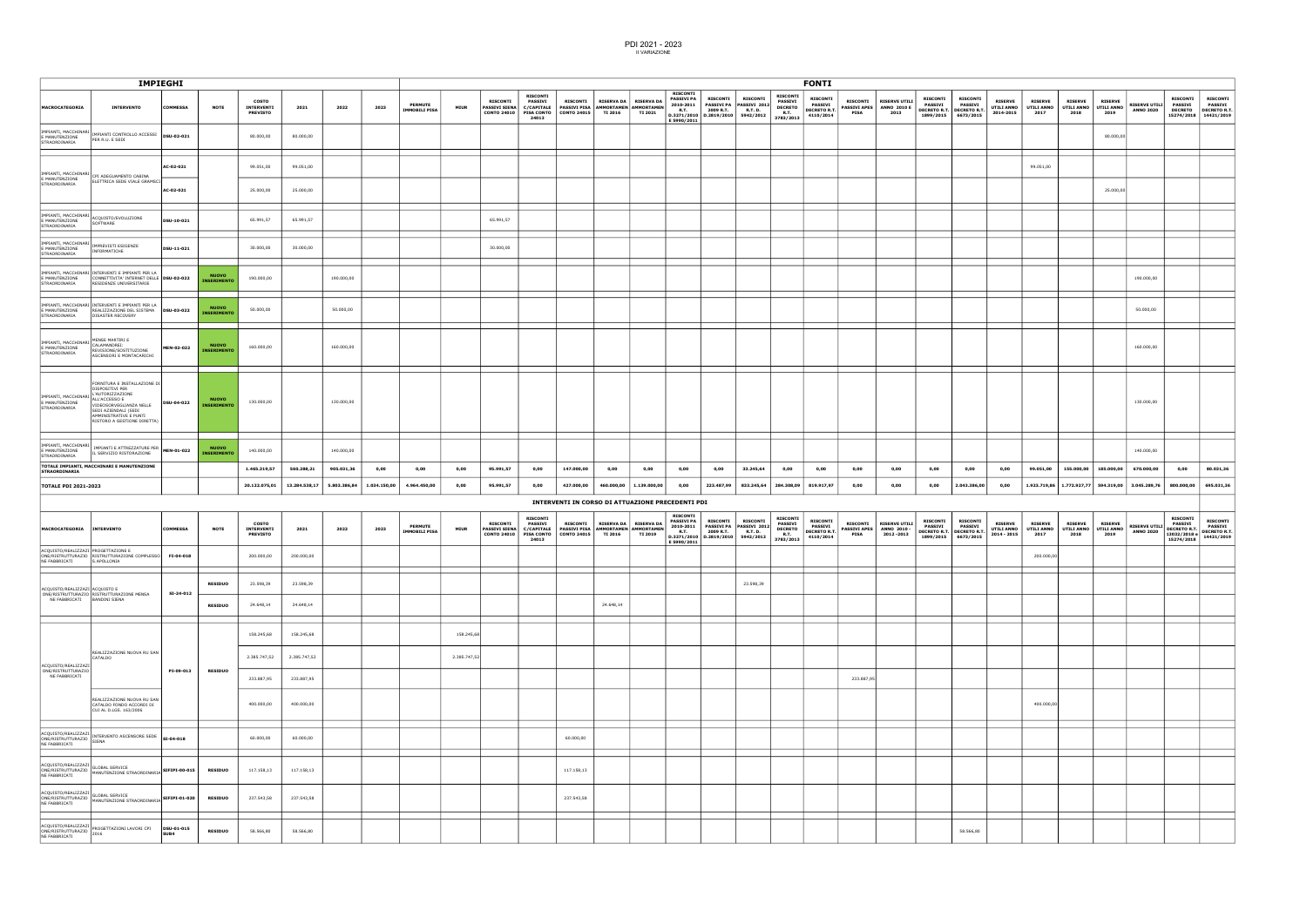|                                                                                              |                                                                                                                                                                                                           | <b>IMPIEGHI</b>    |                                    |                                               |                            |              |              |                                        |              |                                                               |                                                                                      |                                                                             |                |                                    |                                                                                 |                                                         |                                                                           |                                                                                 | <b>FONTI</b>                                                          |                                |                                                                   |                                                                       |                                                                       |                                             |                                             |                                      |                                      |                                          |                                                                                        |                                                                                   |
|----------------------------------------------------------------------------------------------|-----------------------------------------------------------------------------------------------------------------------------------------------------------------------------------------------------------|--------------------|------------------------------------|-----------------------------------------------|----------------------------|--------------|--------------|----------------------------------------|--------------|---------------------------------------------------------------|--------------------------------------------------------------------------------------|-----------------------------------------------------------------------------|----------------|------------------------------------|---------------------------------------------------------------------------------|---------------------------------------------------------|---------------------------------------------------------------------------|---------------------------------------------------------------------------------|-----------------------------------------------------------------------|--------------------------------|-------------------------------------------------------------------|-----------------------------------------------------------------------|-----------------------------------------------------------------------|---------------------------------------------|---------------------------------------------|--------------------------------------|--------------------------------------|------------------------------------------|----------------------------------------------------------------------------------------|-----------------------------------------------------------------------------------|
| <b>MACROCATEGORIA</b>                                                                        | <b>INTERVENTO</b>                                                                                                                                                                                         | <b>COMMESSA</b>    | <b>NOTE</b>                        | COSTO<br>INTERVENTI<br><b>PREVISTO</b>        | 2021                       | 2022         | 2023         | <b>PERMUTE</b><br><b>IMMOBILI PISA</b> | <b>MIUR</b>  | <b>RISCONTI</b><br><b>PASSIVI SIENA</b><br><b>CONTO 24010</b> | <b>RISCONTI</b><br><b>PASSIVI</b><br>C/CAPITALE<br><b>PISA CONTO</b><br>24013        | <b>RISCONTI</b><br>PASSIVI PISA AMMORTAMEN AMMORTAMEN<br>CONTO 24015        | <b>TI 2016</b> | RISERVA DA   RISERVA DA<br>TI 2021 | <b>RISCONTI</b><br><b>PASSIVI PA</b><br>2010-2011<br><b>R.T.</b><br>E 5990/2011 | <b>RISCONTI</b><br>2009 R.T.<br>D.3271/2010 D.2819/2010 | <b>RISCONTI</b><br>PASSIVI PA PASSIVI 2012<br><b>R.T. D.</b><br>5942/2012 | <b>RISCONTI</b><br><b>PASSIVI</b><br><b>DECRETO</b><br><b>R.T.</b><br>3783/2013 | <b>RISCONTI</b><br><b>PASSIVI</b><br><b>DECRETO R.T.</b><br>4110/2014 | <b>RISCONTI</b><br>PISA        | <b>RISERVE UTILI</b><br>PASSIVI APES   ANNO 2010 E<br>2013        | <b>RISCONTI</b><br><b>PASSIVI</b><br><b>DECRETO R.T.</b><br>1899/2015 | <b>RISCONTI</b><br><b>PASSIVI</b><br><b>DECRETO R.T.</b><br>6673/2015 | <b>RISERVE</b><br>UTILI ANNO<br>2014-2015   | <b>RISERVE</b><br>UTILI ANNO<br>2017        | <b>RISERVE</b><br>UTILI ANNO<br>2018 | <b>RISERVE</b><br>UTILI ANNO<br>2019 | <b>RISERVE UTILI</b><br><b>ANNO 2020</b> | <b>RISCONTI</b><br><b>PASSIVI</b><br><b>DECRETO</b>                                    | <b>RISCONTI</b><br><b>PASSIVI</b><br><b>DECRETO R.T.</b><br>15274/2018 14421/2019 |
| IMPIANTI, MACCHINARI<br>E MANUTENZIONE<br>STRAORDINARIA                                      | IMPIANTI CONTROLLO ACCESSI  DSU-02-021<br>PER R.U. E SEDI                                                                                                                                                 |                    |                                    | 80.000,00                                     | 80.000,00                  |              |              |                                        |              |                                                               |                                                                                      |                                                                             |                |                                    |                                                                                 |                                                         |                                                                           |                                                                                 |                                                                       |                                |                                                                   |                                                                       |                                                                       |                                             |                                             |                                      | 80.000,00                            |                                          |                                                                                        |                                                                                   |
| IMPIANTI, MACCHINARI<br>E MANUTENZIONE                                                       | CPI ADEGUAMENTO CABINA                                                                                                                                                                                    | AC-02-021          |                                    | 99.051,00                                     | 99.051,00                  |              |              |                                        |              |                                                               |                                                                                      |                                                                             |                |                                    |                                                                                 |                                                         |                                                                           |                                                                                 |                                                                       |                                |                                                                   |                                                                       |                                                                       |                                             | 99.051,00                                   |                                      |                                      |                                          |                                                                                        |                                                                                   |
| STRAORDINARIA                                                                                | ELETTRICA SEDE VIALE GRAMSCI                                                                                                                                                                              | AC-02-021          |                                    | 25.000,00                                     | 25.000,00                  |              |              |                                        |              |                                                               |                                                                                      |                                                                             |                |                                    |                                                                                 |                                                         |                                                                           |                                                                                 |                                                                       |                                |                                                                   |                                                                       |                                                                       |                                             |                                             |                                      | 25.000,00                            |                                          |                                                                                        |                                                                                   |
| IMPIANTI, MACCHINARI<br>E MANUTENZIONE<br>STRAORDINARIA                                      | ACQUISTO/EVOLUZIONE<br>SOFTWARE                                                                                                                                                                           | DSU-10-021         |                                    | 65.991,57                                     | 65.991,57                  |              |              |                                        |              | 65.991,57                                                     |                                                                                      |                                                                             |                |                                    |                                                                                 |                                                         |                                                                           |                                                                                 |                                                                       |                                |                                                                   |                                                                       |                                                                       |                                             |                                             |                                      |                                      |                                          |                                                                                        |                                                                                   |
| IMPIANTI, MACCHINARI<br>E MANUTENZIONE<br>STRAORDINARIA                                      | IMPREVISTI ESIGENZE<br>INFORMATICHE                                                                                                                                                                       | DSU-11-021         |                                    | 30.000,00                                     | 30.000,00                  |              |              |                                        |              | 30.000,00                                                     |                                                                                      |                                                                             |                |                                    |                                                                                 |                                                         |                                                                           |                                                                                 |                                                                       |                                |                                                                   |                                                                       |                                                                       |                                             |                                             |                                      |                                      |                                          |                                                                                        |                                                                                   |
| E MANUTENZIONE<br>STRAORDINARIA                                                              | IMPIANTI, MACCHINARI INTERVENTI E IMPIANTI PER LA<br>CONNETTIVITA' INTERNET DELLE   DSU-02-022<br>RESIDENZE UNIVERSITARIE                                                                                 |                    | <b>NUOVO</b><br><b>INSERIMENT</b>  | 190.000,00                                    |                            | 190.000,00   |              |                                        |              |                                                               |                                                                                      |                                                                             |                |                                    |                                                                                 |                                                         |                                                                           |                                                                                 |                                                                       |                                |                                                                   |                                                                       |                                                                       |                                             |                                             |                                      |                                      | 190.000,00                               |                                                                                        |                                                                                   |
| E MANUTENZIONE<br>STRAORDINARIA                                                              | IMPIANTI, MACCHINARI INTERVENTI E IMPIANTI PER LA<br>REALIZZAZIONE DEL SISTEMA   DSU-03-022<br>DISASTER RECOVERY                                                                                          |                    | <b>NUOVO</b><br><b>INSERIMENT</b>  | 50.000,00                                     |                            | 50.000,00    |              |                                        |              |                                                               |                                                                                      |                                                                             |                |                                    |                                                                                 |                                                         |                                                                           |                                                                                 |                                                                       |                                |                                                                   |                                                                       |                                                                       |                                             |                                             |                                      |                                      | 50.000,00                                |                                                                                        |                                                                                   |
| IMPIANTI, MACCHINARI<br>E MANUTENZIONE<br>STRAORDINARIA                                      | MENSE MARTIRI E<br>CALAMANDREI:<br>REVISIONE/SOSTITUZIONE<br>ASCENSORI E MONTACARICHI                                                                                                                     | MEN-02-022         | <b>NUOVO</b><br><b>INSERIMENTO</b> | 160.000,00                                    |                            | 160.000,00   |              |                                        |              |                                                               |                                                                                      |                                                                             |                |                                    |                                                                                 |                                                         |                                                                           |                                                                                 |                                                                       |                                |                                                                   |                                                                       |                                                                       |                                             |                                             |                                      |                                      | 160.000,00                               |                                                                                        |                                                                                   |
| IMPIANTI, MACCHINARI<br>E MANUTENZIONE<br>STRAORDINARIA                                      | FORNITURA E INSTALLAZIONE DI<br>DISPOSITIVI PER<br>L'AUTORIZZAZIONE<br>ALL'ACCESSO E<br>VIDEOSORVEGLIANZA NELLE<br>SEDI AZIENDALI (SEDI<br>AMMINISTRATIVE E PUNTI<br>RISTORO A GESTIONE DIRETTA)          | DSU-04-022         | <b>NUOVO</b><br><b>INSERIMENTO</b> | 130.000,00                                    |                            | 130.000,00   |              |                                        |              |                                                               |                                                                                      |                                                                             |                |                                    |                                                                                 |                                                         |                                                                           |                                                                                 |                                                                       |                                |                                                                   |                                                                       |                                                                       |                                             |                                             |                                      |                                      | 130.000,00                               |                                                                                        |                                                                                   |
| IMPIANTI, MACCHINARI<br>E MANUTENZIONE<br>STRAORDINARIA                                      | IMPIANTI E ATTREZZATURE PER MEN-01-022<br>IL SERVIZIO RISTORAZIONE                                                                                                                                        |                    | <b>NUOVO</b><br><b>NSERIMENT</b>   | 140.000,00                                    |                            | 140.000,00   |              |                                        |              |                                                               |                                                                                      |                                                                             |                |                                    |                                                                                 |                                                         |                                                                           |                                                                                 |                                                                       |                                |                                                                   |                                                                       |                                                                       |                                             |                                             |                                      |                                      | 140.000,00                               |                                                                                        |                                                                                   |
| <b>STRAORDINARIA</b>                                                                         | TOTALE IMPIANTI, MACCHINARI E MANUTENZIONE                                                                                                                                                                |                    |                                    | 1.465.319,57                                  | 560.288,21                 | 905.031,36   | 0,00         | 0,00                                   | 0,00         | 95.991,57                                                     | 0,00                                                                                 | 147.000,00                                                                  | 0,00           | 0,00                               | 0,00                                                                            | 0,00                                                    | 33.245,64                                                                 | 0,00                                                                            | 0,00                                                                  | 0,00                           | 0,00                                                              | 0,00                                                                  | 0,00                                                                  | 0,00                                        | 99.051,00                                   | 155.000,00                           | 185.000,00                           | 670.000,00                               | 0,00                                                                                   | 80.031,36                                                                         |
| <b>TOTALE PDI 2021-2023</b>                                                                  |                                                                                                                                                                                                           |                    |                                    | 20.122.075,01                                 | 13.284.538,17              | 5.803.386,84 | 1.034.150,00 | 4.964.450,00                           | 0,00         | 95.991,57                                                     | 0,00                                                                                 | 427.000,00                                                                  |                | 460.000,00 1.139.000,00            | 0,00                                                                            | 223.487,99                                              | 833.245,64                                                                | 284.308,09                                                                      | 819.917,97                                                            | 0,00                           | 0,00                                                              | 0,00                                                                  | 2.043.386,00                                                          | 0,00                                        | 1.923.719,86                                | 1.772.927,77                         | 594.319,00                           | 3.045.289,76                             | 800.000,00                                                                             | 695.031,36                                                                        |
|                                                                                              |                                                                                                                                                                                                           |                    |                                    |                                               |                            |              |              |                                        |              |                                                               |                                                                                      | INTERVENTI IN CORSO DI ATTUAZIONE PRECEDENTI PDI                            |                |                                    |                                                                                 |                                                         |                                                                           |                                                                                 |                                                                       |                                |                                                                   |                                                                       |                                                                       |                                             |                                             |                                      |                                      |                                          |                                                                                        |                                                                                   |
| MACROCATEGORIA                                                                               | <b>INTERVENTO</b>                                                                                                                                                                                         | <b>COMMESSA</b>    | <b>NOTE</b>                        | COSTO<br><b>INTERVENTI</b><br><b>PREVISTO</b> | 2021                       | 2022         | 2023         | <b>PERMUTE</b><br>IMMOBILI PISA        | <b>MIUR</b>  | <b>RISCONTI</b><br><b>PASSIVI SIENA</b><br><b>CONTO 24010</b> | <b>RISCONTI</b><br><b>PASSIVI</b><br><b>C/CAPITALE</b><br><b>PISA CONTO</b><br>24013 | <b>RISCONTI</b><br>PASSIVI PISA AMMORTAMEN AMMORTAMEN<br><b>CONTO 24015</b> | <b>TI 2016</b> | RISERVA DA   RISERVA DA<br>TI 2019 | <b>RISCONTI</b><br><b>PASSIVI PA</b><br>2010-2011<br><b>R.T.</b><br>E 5990/2011 | <b>RISCONTI</b><br>2009 R.T.<br>D.3271/2010 D.2819/2010 | <b>RISCONTI</b><br>PASSIVI PA PASSIVI 2012<br><b>R.T. D.</b><br>5942/2012 | <b>RISCONTI</b><br><b>PASSIVI</b><br><b>DECRETO</b><br><b>R.T.</b><br>3783/2013 | <b>RISCONTI</b><br>PASSIVI<br><b>DECRETO R.T.</b><br>4110/2014        | <b>RISCONTI</b><br><b>PISA</b> | <b>RISERVE UTILI</b><br>PASSIVI APES   ANNO 2010 -<br>2012 - 2013 | <b>RISCONTI</b><br>PASSIVI<br><b>DECRETO R.T.</b><br>1899/2015        | <b>RISCONTI</b><br>PASSIVI<br><b>DECRETO R.T.</b><br>6673/2015        | <b>RISERVE</b><br>UTILI ANNO<br>2014 - 2015 | <b>RISERVE</b><br><b>UTILI ANNO</b><br>2017 | <b>RISERVE</b><br>UTILI ANNO<br>2018 | <b>RISERVE</b><br>UTILI ANNO<br>2019 | <b>RISERVE UTILI</b><br><b>ANNO 2020</b> | <b>RISCONTI</b><br><b>PASSIVI</b><br><b>DECRETO R.T.</b><br>13032/2018 e<br>15274/2018 | <b>RISCONTI</b><br><b>PASSIVI</b><br><b>DECRETO R.T.</b><br>14421/2019            |
| ACQUISTO/REALIZZAZI PROGETTAZIONE E<br>NE FABBRICATI                                         | ONE/RISTRUTTURAZIO RISTRUTTURAZIONE COMPLESSO FI-04-018<br>S.APOLLONIA                                                                                                                                    |                    |                                    | 200.000,00                                    | 200.000,00                 |              |              |                                        |              |                                                               |                                                                                      |                                                                             |                |                                    |                                                                                 |                                                         |                                                                           |                                                                                 |                                                                       |                                |                                                                   |                                                                       |                                                                       |                                             | 200.000,00                                  |                                      |                                      |                                          |                                                                                        |                                                                                   |
| ACQUISTO/REALIZZAZI ACQUISTO E                                                               | ONE/RISTRUTTURAZIO RISTRUTTURAZIONE MENSA                                                                                                                                                                 | SI-24-012          | <b>RESIDUO</b>                     | 23.598,39                                     | 23.598,39                  |              |              |                                        |              |                                                               |                                                                                      |                                                                             |                |                                    |                                                                                 |                                                         | 23.598,39                                                                 |                                                                                 |                                                                       |                                |                                                                   |                                                                       |                                                                       |                                             |                                             |                                      |                                      |                                          |                                                                                        |                                                                                   |
| NE FABBRICATI BANDINI SIENA                                                                  |                                                                                                                                                                                                           |                    | <b>RESIDUO</b>                     | 24.648,14                                     | 24.648,14                  |              |              |                                        |              |                                                               |                                                                                      |                                                                             | 24.648,14      |                                    |                                                                                 |                                                         |                                                                           |                                                                                 |                                                                       |                                |                                                                   |                                                                       |                                                                       |                                             |                                             |                                      |                                      |                                          |                                                                                        |                                                                                   |
|                                                                                              | REALIZZAZIONE NUOVA RU SAN                                                                                                                                                                                |                    |                                    | 158.245,68                                    | 158.245,68                 |              |              |                                        | 158.245,68   |                                                               |                                                                                      |                                                                             |                |                                    |                                                                                 |                                                         |                                                                           |                                                                                 |                                                                       |                                |                                                                   |                                                                       |                                                                       |                                             |                                             |                                      |                                      |                                          |                                                                                        |                                                                                   |
| ACQUISTO/REALIZZAZI<br>ONE/RISTRUTTURAZIO<br>NE FABBRICATI                                   | CATALDO                                                                                                                                                                                                   | PI-09-013          | <b>RESIDUO</b>                     | 2.385.747,52<br>233.887,95                    | 2.385.747,52<br>233.887,95 |              |              |                                        | 2.385.747,52 |                                                               |                                                                                      |                                                                             |                |                                    |                                                                                 |                                                         |                                                                           |                                                                                 |                                                                       | 233.887,95                     |                                                                   |                                                                       |                                                                       |                                             |                                             |                                      |                                      |                                          |                                                                                        |                                                                                   |
|                                                                                              | REALIZZAZIONE NUOVA RU SAN<br>CATALDO FONDO ACCORDI DI<br>CUI AL D.LGS. 163/2006                                                                                                                          |                    |                                    | 400.000,00                                    | 400.000,00                 |              |              |                                        |              |                                                               |                                                                                      |                                                                             |                |                                    |                                                                                 |                                                         |                                                                           |                                                                                 |                                                                       |                                |                                                                   |                                                                       |                                                                       |                                             | 400.000,00                                  |                                      |                                      |                                          |                                                                                        |                                                                                   |
|                                                                                              |                                                                                                                                                                                                           |                    |                                    | 60.000,00                                     | 60.000,00                  |              |              |                                        |              |                                                               |                                                                                      | 60.000,00                                                                   |                |                                    |                                                                                 |                                                         |                                                                           |                                                                                 |                                                                       |                                |                                                                   |                                                                       |                                                                       |                                             |                                             |                                      |                                      |                                          |                                                                                        |                                                                                   |
|                                                                                              | $\left \begin{array}{l}\texttt{ACQUISTO/REALIZAZIZI}\end{array}\right \texttt{GLOBAL SERVICE}\xspace\begin{array}{l}\texttt{SFRVICE}\end{array}\xspace\begin{bmatrix}\texttt{SIFIPI-00-015}\end{bmatrix}$ |                    | <b>RESIDUO</b>                     | 117.158,13                                    | 117.158,13                 |              |              |                                        |              |                                                               |                                                                                      | 117.158,13                                                                  |                |                                    |                                                                                 |                                                         |                                                                           |                                                                                 |                                                                       |                                |                                                                   |                                                                       |                                                                       |                                             |                                             |                                      |                                      |                                          |                                                                                        |                                                                                   |
| ACQUISTO/REALIZZAZI<br>NE FABBRICATI                                                         | ACQUISTO/REALIZZAZI<br>ONE/RISTRUTTURAZIO MANUTENZIONE STRAORDINARIA SIFIPI-01-020                                                                                                                        |                    | <b>RESIDUO</b>                     | 237.543,58                                    | 237.543,58                 |              |              |                                        |              |                                                               |                                                                                      | 237.543,58                                                                  |                |                                    |                                                                                 |                                                         |                                                                           |                                                                                 |                                                                       |                                |                                                                   |                                                                       |                                                                       |                                             |                                             |                                      |                                      |                                          |                                                                                        |                                                                                   |
| ACQUISTO/REALIZZAZI<br>ACQUISTIV/NOWWERED PROGET<br>ONE/RISTRUTTURAZIO 2016<br>NE FABBRICATI | PROGETTAZIONI LAVORI CPI                                                                                                                                                                                  | DSU-01-015<br>SUB4 | <b>RESIDUO</b>                     | 58.566,80                                     | 58.566,80                  |              |              |                                        |              |                                                               |                                                                                      |                                                                             |                |                                    |                                                                                 |                                                         |                                                                           |                                                                                 |                                                                       |                                |                                                                   |                                                                       | 58.566,80                                                             |                                             |                                             |                                      |                                      |                                          |                                                                                        |                                                                                   |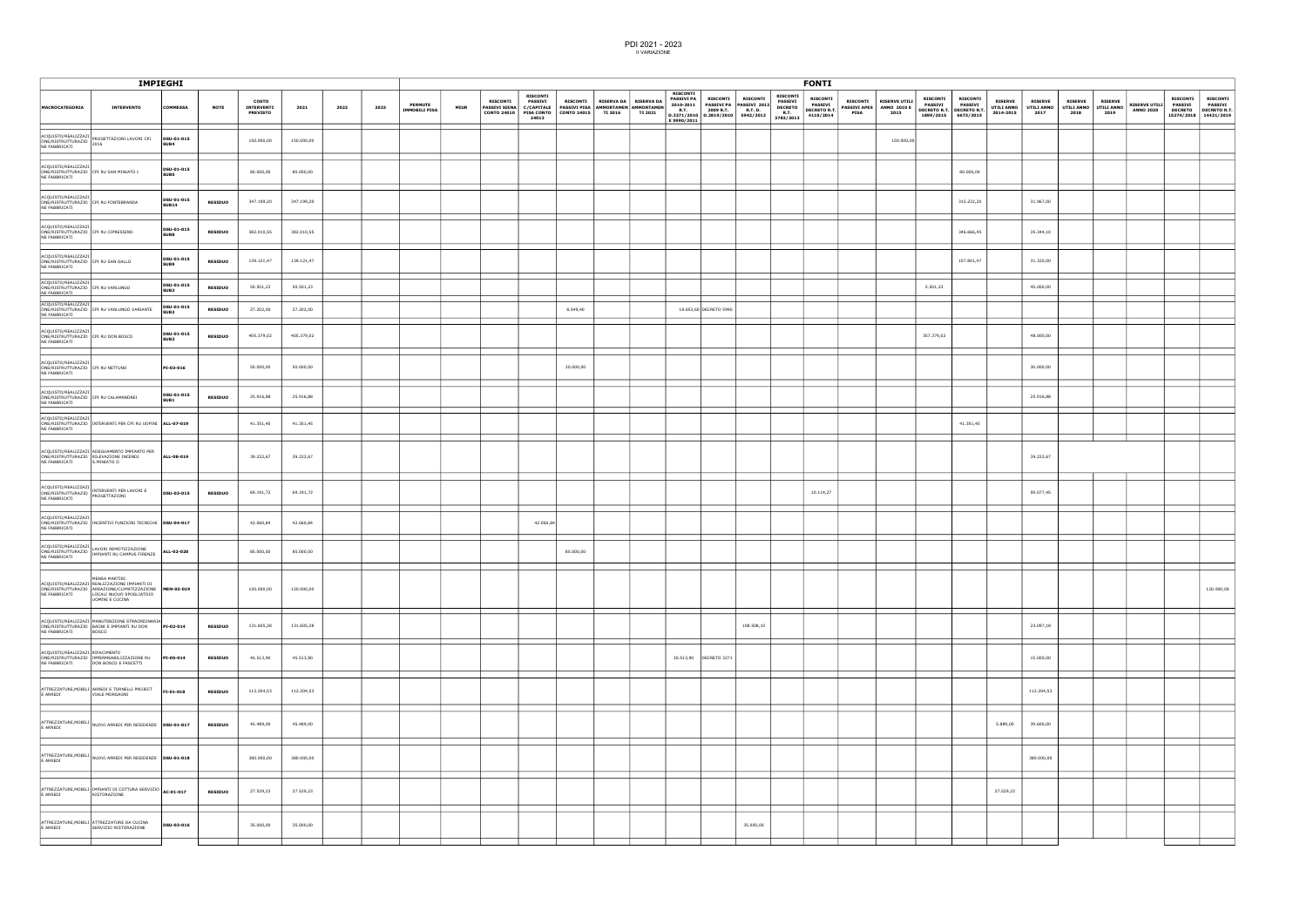|                                                                              | <b>IMPIEGHI</b>                                                                                                                                                           |                                |                |                                        |            |      |      |                                        |             |                                             |                            |                 |                                                                                                                                          |                                                               |                                   | <b>FONTI</b>                                              |                                                                             |                                                                                                                |                |                                             |                                                 |                                                                    |                                                                                                                         |
|------------------------------------------------------------------------------|---------------------------------------------------------------------------------------------------------------------------------------------------------------------------|--------------------------------|----------------|----------------------------------------|------------|------|------|----------------------------------------|-------------|---------------------------------------------|----------------------------|-----------------|------------------------------------------------------------------------------------------------------------------------------------------|---------------------------------------------------------------|-----------------------------------|-----------------------------------------------------------|-----------------------------------------------------------------------------|----------------------------------------------------------------------------------------------------------------|----------------|---------------------------------------------|-------------------------------------------------|--------------------------------------------------------------------|-------------------------------------------------------------------------------------------------------------------------|
| <b>MACROCATEGORIA</b>                                                        | <b>INTERVENTO</b>                                                                                                                                                         | <b>COMMESSA</b>                | <b>NOTE</b>    | COSTO<br>INTERVENTI<br><b>PREVISTO</b> | 2021       | 2022 | 2023 | <b>PERMUTE</b><br><b>IMMOBILI PISA</b> | <b>MIUR</b> | <b>RISCONTI</b><br>PASSIVI SIENA C/CAPITALE | <b>RISCONTI</b><br>PASSIVI | <b>RISCONTI</b> | <b>RISCONTI</b><br><b>PASSIVI PA</b><br>RISERVA DA   RISERVA DA  <br>2010-2011<br>PASSIVI PISA AMMORTAMEN AMMORTAMEN EULE<br>E 5990/2011 | <b>RISCONTI</b><br><b>RISCONTI</b><br>PASSIVI PA PASSIVI 2012 | <b>RISCONTI</b><br><b>PASSIVI</b> | <b>RISCONTI</b><br><b>PASSIVI</b><br>DECRETO DECRETO R.T. | RISCONTI RISERVE UTILI<br>PASSIVI APES   ANNO 2010 E<br><b>PISA</b><br>2013 | <b>RISCONTI</b><br><b>RISCONTI</b><br><b>PASSIVI</b><br><b>PASSIVI</b><br>DECRETO R.T. DECRETO R.T. UTILI ANNO | <b>RISERVE</b> | <b>RISERVE</b><br><b>UTILI ANNO</b><br>2017 | <b>RISERVE</b><br>UTILI ANNO UTILI ANNO<br>2018 | <b>RISERVE</b><br><b>RISERVE UTILI</b><br><b>ANNO 2020</b><br>2019 | <b>RISCONTI</b><br><b>RISCONTI</b><br><b>PASSIVI</b><br><b>PASSIVI</b><br>DECRETO DECRETO R.T.<br>15274/2018 14421/2019 |
| NE FABBRICATI                                                                | ACQUISTO/REALIZZAZI<br>ONE/RISTRUTTURAZIO PROGETTAZIONI LAVORI CPI<br>DELENCATION DI 2016                                                                                 | DSU-01-015<br>SUB4             |                | 150.000,00                             | 150.000,00 |      |      |                                        |             |                                             |                            |                 |                                                                                                                                          |                                                               |                                   |                                                           | 150.000,00                                                                  |                                                                                                                |                |                                             |                                                 |                                                                    |                                                                                                                         |
| ACQUISTO/REALIZZAZI<br>NE FABBRICATI                                         | ONE/RISTRUTTURAZIO CPI RU SAN MINIATO I                                                                                                                                   | DSU-01-015<br>SUB5             |                | 80.000,00                              | 80.000,00  |      |      |                                        |             |                                             |                            |                 |                                                                                                                                          |                                                               |                                   |                                                           |                                                                             | 80.000,00                                                                                                      |                |                                             |                                                 |                                                                    |                                                                                                                         |
| ACQUISTO/REALIZZAZI<br>NE FABBRICATI                                         | ONE/RISTRUTTURAZIO CPI RU FONTEBRANDA                                                                                                                                     | DSU-01-015<br><b>SUB14</b>     | <b>RESIDUO</b> | 347.199,20                             | 347.199,20 |      |      |                                        |             |                                             |                            |                 |                                                                                                                                          |                                                               |                                   |                                                           |                                                                             | 315.232,20                                                                                                     |                | 31.967,00                                   |                                                 |                                                                    |                                                                                                                         |
| ACQUISTO/REALIZZAZI<br>ONE/RISTRUTTURAZIO CPI RU CIPRESSINO<br>NE FABBRICATI |                                                                                                                                                                           | DSU-01-015<br>SUB8             | <b>RESIDUO</b> | 382.010,55                             | 382.010,55 |      |      |                                        |             |                                             |                            |                 |                                                                                                                                          |                                                               |                                   |                                                           |                                                                             | 346.666,45                                                                                                     |                | 35.344,10                                   |                                                 |                                                                    |                                                                                                                         |
| ACQUISTO/REALIZZAZI<br>ONE/RISTRUTTURAZIO CPI RU SAN GALLO<br>NE FABBRICATI  |                                                                                                                                                                           | DSU-01-015<br><b>SUB9</b>      | <b>RESIDUO</b> | 139.121,47                             | 139.121,47 |      |      |                                        |             |                                             |                            |                 |                                                                                                                                          |                                                               |                                   |                                                           |                                                                             | 107.801,47                                                                                                     |                | 31.320,00                                   |                                                 |                                                                    |                                                                                                                         |
| ACQUISTO/REALIZZAZI<br>ONE/RISTRUTTURAZIO CPI RU VARLUNGO<br>NE FABBRICATI   |                                                                                                                                                                           | DSU-01-015<br>SUB <sub>2</sub> | <b>RESIDUO</b> | 50.501,23                              | 50.501,23  |      |      |                                        |             |                                             |                            |                 |                                                                                                                                          |                                                               |                                   |                                                           |                                                                             | 5.501,23                                                                                                       |                | 45.000,00                                   |                                                 |                                                                    |                                                                                                                         |
| ACQUISTO/REALIZZAZI<br>NE FABBRICATI                                         | ONE/RISTRUTTURAZIO CPI RU VARLUNGO VARIANTE                                                                                                                               | <b>DSU-01-015<br/>SUB2</b>     | <b>RESIDUO</b> | 27.202,00                              | 27.202,00  |      |      |                                        |             |                                             |                            | 8.549,40        |                                                                                                                                          | 18.652,60 DECRETO 5990                                        |                                   |                                                           |                                                                             |                                                                                                                |                |                                             |                                                 |                                                                    |                                                                                                                         |
| ACQUISTO/REALIZZAZI<br>ONE/RISTRUTTURAZIO CPI RU DON BOSCO<br>NE FABBRICATI  |                                                                                                                                                                           | DSU-01-015<br>SUB3             | <b>RESIDUO</b> | 405.379,02                             | 405.379,02 |      |      |                                        |             |                                             |                            |                 |                                                                                                                                          |                                                               |                                   |                                                           |                                                                             | 357.379,02                                                                                                     |                | 48.000,00                                   |                                                 |                                                                    |                                                                                                                         |
| ACQUISTO/REALIZZAZI<br>ONE/RISTRUTTURAZIO CPI RU NETTUNO<br>NE FABBRICATI    |                                                                                                                                                                           | PI-03-016                      |                | 50.000,00                              | 50.000,00  |      |      |                                        |             |                                             |                            | 20.000,00       |                                                                                                                                          |                                                               |                                   |                                                           |                                                                             |                                                                                                                |                | 30.000,00                                   |                                                 |                                                                    |                                                                                                                         |
| ACQUISTO/REALIZZAZI<br>NE FABBRICATI                                         | ONE/RISTRUTTURAZIO CPI RU CALAMANDREI                                                                                                                                     | DSU-01-015<br>SUB <sub>1</sub> | <b>RESIDUO</b> | 25.916,88                              | 25.916,88  |      |      |                                        |             |                                             |                            |                 |                                                                                                                                          |                                                               |                                   |                                                           |                                                                             |                                                                                                                |                | 25.916,88                                   |                                                 |                                                                    |                                                                                                                         |
| ACQUISTO/REALIZZAZI<br>NE FABBRICATI                                         | ONE/RISTRUTTURAZIO  INTERVENTI PER CPI RU UOPINI  ALL-07-019                                                                                                              |                                |                | 41.351,45                              | 41.351,45  |      |      |                                        |             |                                             |                            |                 |                                                                                                                                          |                                                               |                                   |                                                           |                                                                             | 41.351,45                                                                                                      |                |                                             |                                                 |                                                                    |                                                                                                                         |
| NE FABBRICATI                                                                | ACQUISTO/REALIZZAZI ADEGUAMENTO IMPIANTO PER<br>ONE/RISTRUTTURAZIO RILEVAZIONE INCENDI<br>S.MINIATO II                                                                    | ALL-08-019                     |                | 39.222,67                              | 39.222,67  |      |      |                                        |             |                                             |                            |                 |                                                                                                                                          |                                                               |                                   |                                                           |                                                                             |                                                                                                                |                | 39.222,67                                   |                                                 |                                                                    |                                                                                                                         |
| NE FABBRICATI                                                                | ACQUISTO/REALIZZAZI<br>  ONE/RISTRUTTURAZIO  <br>  ONE/RISTRUTTURAZIO  <br>  OROGETTAZIONI                                                                                | DSU-03-015                     | <b>RESIDUO</b> | 69.191,72                              | 69.191,72  |      |      |                                        |             |                                             |                            |                 |                                                                                                                                          |                                                               |                                   | 10.114,27                                                 |                                                                             |                                                                                                                |                | 59.077,45                                   |                                                 |                                                                    |                                                                                                                         |
| ACQUISTO/REALIZZAZI<br>NE FABBRICATI                                         | ONE/RISTRUTTURAZIO  INCENTIVI FUNZIONI TECNICHE  DSU-04-017                                                                                                               |                                |                | 42.060,84                              | 42.060,84  |      |      |                                        |             |                                             | 42.060,84                  |                 |                                                                                                                                          |                                                               |                                   |                                                           |                                                                             |                                                                                                                |                |                                             |                                                 |                                                                    |                                                                                                                         |
| ACQUISTO/REALIZZAZI<br>NE FABBRICATI                                         | ACQUISTO/REALIZZAZI LAVORI REMOTIZZAZIONE<br>ONE/RISTRUTTURAZIO MPIANTI RU CAMPUS FIRENZE                                                                                 | ALL-02-020                     |                | 85.000,00                              | 85.000,00  |      |      |                                        |             |                                             |                            | 85.000,00       |                                                                                                                                          |                                                               |                                   |                                                           |                                                                             |                                                                                                                |                |                                             |                                                 |                                                                    |                                                                                                                         |
| NE FABBRICATI                                                                | MENSA MARTIRI:<br>ACQUISTO/REALIZZAZI REALIZZAZIONE IMPIANTI DI<br>ONE/RISTRUTTURAZIO AREAZIONE/CLIMATIZZAZIONE MEN-02-019<br>LOCALI NUOVO SPOGLIATOIO<br>UOMINI E CUCINA |                                |                | 120.000,00                             | 120.000,00 |      |      |                                        |             |                                             |                            |                 |                                                                                                                                          |                                                               |                                   |                                                           |                                                                             |                                                                                                                |                |                                             |                                                 |                                                                    | 120.000,00                                                                                                              |
| NE FABBRICATI                                                                | ACQUISTO/REALIZZAZI MANUTENZIONE STRAORDINARIA<br>ONE/RISTRUTTURAZIO BAGNI E IMPIANTI RU DON<br><b>BOSCO</b>                                                              | PI-02-014                      | <b>RESIDUO</b> | 131.605,28                             | 131.605,28 |      |      |                                        |             |                                             |                            |                 |                                                                                                                                          | 108.508,10                                                    |                                   |                                                           |                                                                             |                                                                                                                |                | 23.097,18                                   |                                                 |                                                                    |                                                                                                                         |
| ACQUISTO/REALIZZAZI RIFACIMENTO<br>NE FABBRICATI                             | ONE/RISTRUTTURAZIO   IMPERMEABILIZZAZIONE RU   PI-05-014<br>DON BOSCO E FASCETTI                                                                                          |                                | <b>RESIDUO</b> | 45.513,90                              | 45.513,90  |      |      |                                        |             |                                             |                            |                 |                                                                                                                                          | 30.513,90 DECRETO 3271                                        |                                   |                                                           |                                                                             |                                                                                                                |                | 15.000,00                                   |                                                 |                                                                    |                                                                                                                         |
| E ARREDI                                                                     | ATTREZZATURE, MOBILI ARREDI E TORNELLI PROJECT<br>VIALE MORGAGNI                                                                                                          | FI-01-018                      | <b>RESIDUO</b> | 112.204,53                             | 112.204,53 |      |      |                                        |             |                                             |                            |                 |                                                                                                                                          |                                                               |                                   |                                                           |                                                                             |                                                                                                                |                | 112.204,53                                  |                                                 |                                                                    |                                                                                                                         |
| E ARREDI                                                                     | ATTREZZATURE, MOBILI NUOVI ARREDI PER RESIDENZE   DSU-01-017                                                                                                              |                                | <b>RESIDUO</b> | 45.489,00                              | 45.489,00  |      |      |                                        |             |                                             |                            |                 |                                                                                                                                          |                                                               |                                   |                                                           |                                                                             |                                                                                                                | 5.889,00       | 39.600,00                                   |                                                 |                                                                    |                                                                                                                         |
| E ARREDI                                                                     | ATTREZZATURE, MOBILI NUOVI ARREDI PER RESIDENZE   DSU-01-018                                                                                                              |                                |                | 380.000,00                             | 380.000,00 |      |      |                                        |             |                                             |                            |                 |                                                                                                                                          |                                                               |                                   |                                                           |                                                                             |                                                                                                                |                | 380.000,00                                  |                                                 |                                                                    |                                                                                                                         |
| E ARREDI                                                                     | ATTREZZATURE, MOBILI IMPIANTI DI COTTURA SERVIZIO AC-01-017<br>RISTORAZIONE                                                                                               |                                | <b>RESIDUO</b> | 27.529,23                              | 27.529,23  |      |      |                                        |             |                                             |                            |                 |                                                                                                                                          |                                                               |                                   |                                                           |                                                                             |                                                                                                                | 27.529,23      |                                             |                                                 |                                                                    |                                                                                                                         |
| E ARREDI                                                                     | ATTREZZATURE, MOBILI ATTREZZATURE DA CUCINA<br>SERVIZIO RISTORAZIONE                                                                                                      | DSU-03-016                     |                | 35.000,00                              | 35.000,00  |      |      |                                        |             |                                             |                            |                 |                                                                                                                                          | 35.000,00                                                     |                                   |                                                           |                                                                             |                                                                                                                |                |                                             |                                                 |                                                                    |                                                                                                                         |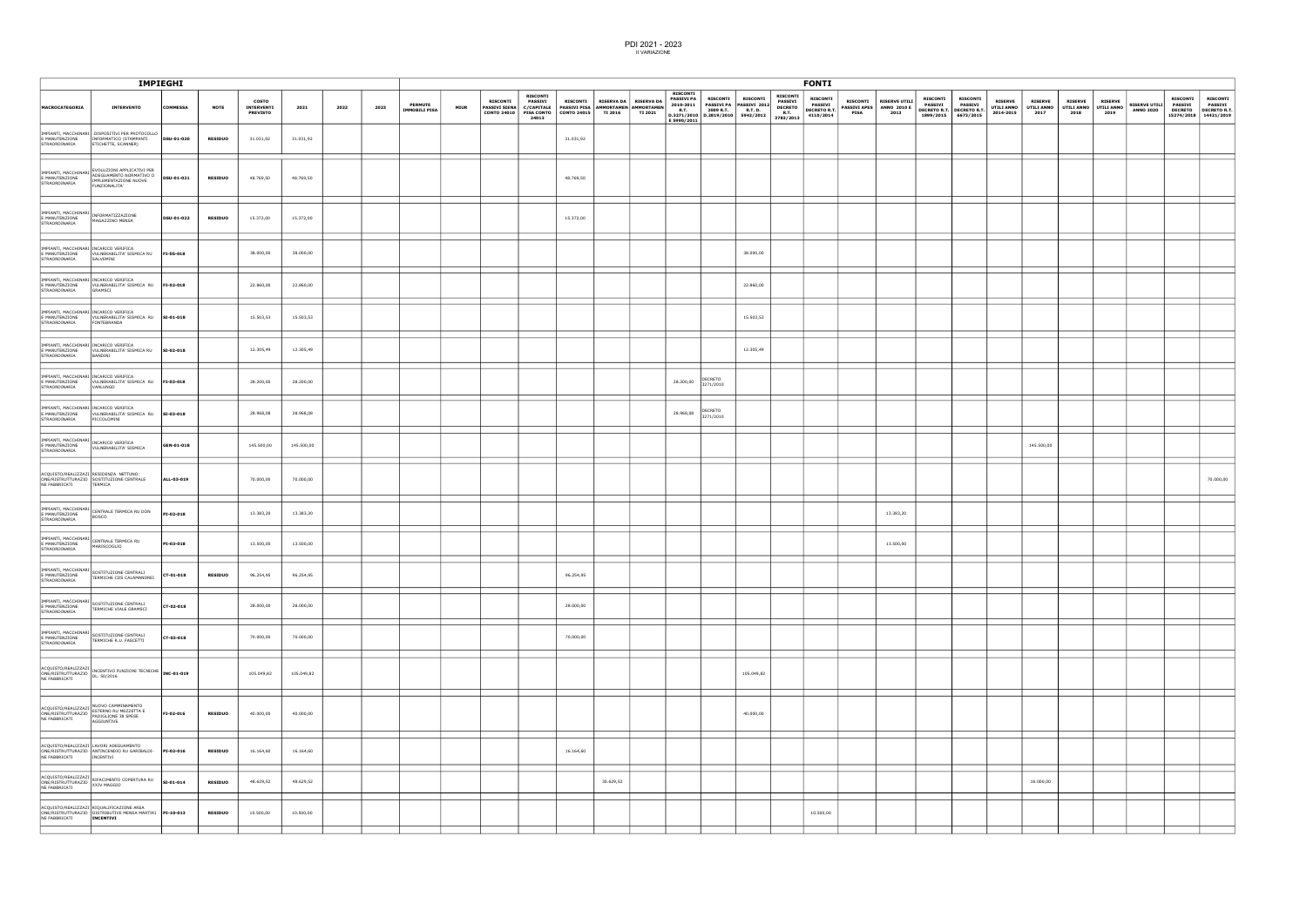|                                                                           |                                                                                                                                                                                                                                                  | IMPIEGHI        |                |                                               |            |      |      |                                        |             |                 |                                                                                                                                                                           |                 |           |                                           |                                                                                 |                                                                                                                                                                                                                                                                                                       |            |                 | <b>FONTI</b>                                                          |             |                                                              |                                                                                                                                                                                                                                                |                              |                             |                        |                        |                        |                                          |                                   |                                                                             |
|---------------------------------------------------------------------------|--------------------------------------------------------------------------------------------------------------------------------------------------------------------------------------------------------------------------------------------------|-----------------|----------------|-----------------------------------------------|------------|------|------|----------------------------------------|-------------|-----------------|---------------------------------------------------------------------------------------------------------------------------------------------------------------------------|-----------------|-----------|-------------------------------------------|---------------------------------------------------------------------------------|-------------------------------------------------------------------------------------------------------------------------------------------------------------------------------------------------------------------------------------------------------------------------------------------------------|------------|-----------------|-----------------------------------------------------------------------|-------------|--------------------------------------------------------------|------------------------------------------------------------------------------------------------------------------------------------------------------------------------------------------------------------------------------------------------|------------------------------|-----------------------------|------------------------|------------------------|------------------------|------------------------------------------|-----------------------------------|-----------------------------------------------------------------------------|
| <b>MACROCATEGORIA</b>                                                     | <b>INTERVENTO</b>                                                                                                                                                                                                                                | <b>COMMESSA</b> | <b>NOTE</b>    | <b>COSTO</b><br>INTERVENTI<br><b>PREVISTO</b> | 2021       | 2022 | 2023 | <b>PERMUTE</b><br><b>IMMOBILI PISA</b> | <b>MIUR</b> | <b>RISCONTI</b> | <b>RISCONTI</b><br><b>PASSIVI</b><br>PASSIVI SIENA   C/CAPITALE   PASSIVI PISA   AMMORTAMEN   AMMORTAMEN  <br>CONTO 24010   PISA CONTO   CONTO 24015   TI 2016  <br>24013 | <b>RISCONTI</b> |           | RISERVA DA   RISERVA DA<br><b>TI 2021</b> | <b>RISCONTI</b><br><b>PASSIVI PA</b><br>2010-2011<br><b>R.T.</b><br>E 5990/2011 | RISCONTI RISCONTI PASSIVI 2012<br>PASSIVI PA R.T. D. DECRETO<br>2009 R.T. R.T. D. R.T. PASSIVI 2014<br>$\begin{array}{ c c c c c c c c c c c } \hline \text{R.T.} & \text{2003 cm} & \text{m.t.} \\ \hline \text{D.3271/2010} & \text{D.2819/2010} & \text{5942/2012} & \text{3783/2013} \end{array}$ |            | <b>RISCONTI</b> | <b>RISCONTI</b><br><b>PASSIVI</b><br><b>DECRETO R.T.</b><br>4110/2014 | <b>PISA</b> | RISCONTI RISERVE UTILI<br>PASSIVI APES   ANNO 2010 E<br>2013 | <b>RISCONTI</b><br><b>PASSIVI</b> PASSIVI <b>PASSIVI EXAMPLE PRODUCTLY ANNO THE PASSIVE DECRETO R.T.</b> DECRETO R.T. <b>DECRETO R.T. DALLA ANNO THE PASSIVE PARTICLE AND DISCRETO R.T. DALLA AND DISCRETO R.T. PARTICLE AND </b><br>1899/2015 | <b>RISCONTI</b><br>6673/2015 | <b>RISERVE</b><br>2014-2015 | <b>RISERVE</b><br>2017 | <b>RISERVE</b><br>2018 | <b>RISERVE</b><br>2019 | <b>RISERVE UTILI</b><br><b>ANNO 2020</b> | <b>RISCONTI</b><br><b>PASSIVI</b> | <b>RISCONTI</b><br>PASSIVI<br>DECRETO DECRETO R.T.<br>15274/2018 14421/2019 |
| E MANUTENZIONE<br>STRAORDINARIA                                           | IMPIANTI, MACCHINARI DISPOSITIVI PER PROTOCOLLO<br>INFORMATICO (STAMPANTI<br>ETICHETTE, SCANNER)                                                                                                                                                 | DSU-01-020      | <b>RESIDUO</b> | 31.031,92                                     | 31.031,92  |      |      |                                        |             |                 |                                                                                                                                                                           | 31.031,92       |           |                                           |                                                                                 |                                                                                                                                                                                                                                                                                                       |            |                 |                                                                       |             |                                                              |                                                                                                                                                                                                                                                |                              |                             |                        |                        |                        |                                          |                                   |                                                                             |
| STRAORDINARIA                                                             | IMPIANTI, MACCHINARI ADEGUAMENTO NORMATIVO O<br>IMPLEMENTAZIONE NUOVE<br>FUNZIONALITA'                                                                                                                                                           | DSU-01-021      | <b>RESIDUO</b> | 48.769,50                                     | 48.769,50  |      |      |                                        |             |                 |                                                                                                                                                                           | 48.769,50       |           |                                           |                                                                                 |                                                                                                                                                                                                                                                                                                       |            |                 |                                                                       |             |                                                              |                                                                                                                                                                                                                                                |                              |                             |                        |                        |                        |                                          |                                   |                                                                             |
| IMPIANTI, MACCHINARI<br>E MANUTENZIONE<br>STRAORDINARIA                   | INFORMATIZZAZIONE<br>MAGAZZINO MENSA                                                                                                                                                                                                             | DSU-01-022      | <b>RESIDUO</b> | 15.372,00                                     | 15.372,00  |      |      |                                        |             |                 |                                                                                                                                                                           | 15.372,00       |           |                                           |                                                                                 |                                                                                                                                                                                                                                                                                                       |            |                 |                                                                       |             |                                                              |                                                                                                                                                                                                                                                |                              |                             |                        |                        |                        |                                          |                                   |                                                                             |
| IMPIANTI, MACCHINARI INCARICO VERIFICA<br>E MANUTENZIONE<br>STRAORDINARIA | VULNERABILITA' SISMICA RU FI-05-018<br>SALVEMINI                                                                                                                                                                                                 |                 |                | 38.000,00                                     | 38.000,00  |      |      |                                        |             |                 |                                                                                                                                                                           |                 |           |                                           |                                                                                 |                                                                                                                                                                                                                                                                                                       | 38.000,00  |                 |                                                                       |             |                                                              |                                                                                                                                                                                                                                                |                              |                             |                        |                        |                        |                                          |                                   |                                                                             |
| IMPIANTI, MACCHINARI INCARICO VERIFICA<br>E MANUTENZIONE<br>STRAORDINARIA | VULNERABILITA' SISMICA RU FI-02-018<br>GRAMSCI                                                                                                                                                                                                   |                 |                | 22.860,00                                     | 22.860,00  |      |      |                                        |             |                 |                                                                                                                                                                           |                 |           |                                           |                                                                                 |                                                                                                                                                                                                                                                                                                       | 22.860,00  |                 |                                                                       |             |                                                              |                                                                                                                                                                                                                                                |                              |                             |                        |                        |                        |                                          |                                   |                                                                             |
| IMPIANTI, MACCHINARI INCARICO VERIFICA<br>STRAORDINARIA                   | E MANUTENZIONE VULNERABILITA' SISMICA RU SI-01-018<br><b>FONTEBRANDA</b>                                                                                                                                                                         |                 |                | 15.503,53                                     | 15.503,53  |      |      |                                        |             |                 |                                                                                                                                                                           |                 |           |                                           |                                                                                 |                                                                                                                                                                                                                                                                                                       | 15.503,53  |                 |                                                                       |             |                                                              |                                                                                                                                                                                                                                                |                              |                             |                        |                        |                        |                                          |                                   |                                                                             |
| IMPIANTI, MACCHINARI INCARICO VERIFICA<br>E MANUTENZIONE<br>STRAORDINARIA | VULNERABILITA' SISMICA RU SI-02-018<br>BANDINI                                                                                                                                                                                                   |                 |                | 12.305,49                                     | 12.305,49  |      |      |                                        |             |                 |                                                                                                                                                                           |                 |           |                                           |                                                                                 |                                                                                                                                                                                                                                                                                                       | 12.305,49  |                 |                                                                       |             |                                                              |                                                                                                                                                                                                                                                |                              |                             |                        |                        |                        |                                          |                                   |                                                                             |
| IMPIANTI, MACCHINARI INCARICO VERIFICA<br>STRAORDINARIA                   | E MANUTENZIONE VULNERABILITA' SISMICA RU FI-03-018<br>VARLUNGO                                                                                                                                                                                   |                 |                | 28.200,00                                     | 28.200,00  |      |      |                                        |             |                 |                                                                                                                                                                           |                 |           |                                           |                                                                                 | 28.200,00 DECRETO                                                                                                                                                                                                                                                                                     |            |                 |                                                                       |             |                                                              |                                                                                                                                                                                                                                                |                              |                             |                        |                        |                        |                                          |                                   |                                                                             |
| IMPIANTI, MACCHINARI INCARICO VERIFICA<br>E MANUTENZIONE<br>STRAORDINARIA | VULNERABILITA' SISMICA RU SI-03-018<br>PICCOLOMINI                                                                                                                                                                                               |                 |                | 28.968,08                                     | 28.968,08  |      |      |                                        |             |                 |                                                                                                                                                                           |                 |           |                                           | 28.968,08 DECRETO                                                               |                                                                                                                                                                                                                                                                                                       |            |                 |                                                                       |             |                                                              |                                                                                                                                                                                                                                                |                              |                             |                        |                        |                        |                                          |                                   |                                                                             |
| IMPIANTI, MACCHINARI<br>E MANUTENZIONE<br>STRAORDINARIA                   | INCARICO VERIFICA<br>VULNERABILITA' SISMICA                                                                                                                                                                                                      | GEN-01-018      |                | 145.500,00                                    | 145.500,00 |      |      |                                        |             |                 |                                                                                                                                                                           |                 |           |                                           |                                                                                 |                                                                                                                                                                                                                                                                                                       |            |                 |                                                                       |             |                                                              |                                                                                                                                                                                                                                                |                              |                             | 145.500,00             |                        |                        |                                          |                                   |                                                                             |
| NE FABBRICATI                                                             | ACQUISTO/REALIZZAZI RESIDENZA NETTUNO:<br>ONE/RISTRUTTURAZIO SOSTITUZIONE CENTRALE<br>TERMICA                                                                                                                                                    | ALL-03-019      |                | 70.000,00                                     | 70.000,00  |      |      |                                        |             |                 |                                                                                                                                                                           |                 |           |                                           |                                                                                 |                                                                                                                                                                                                                                                                                                       |            |                 |                                                                       |             |                                                              |                                                                                                                                                                                                                                                |                              |                             |                        |                        |                        |                                          |                                   | 70.000,00                                                                   |
| E MANUTENZIONE<br>STRAORDINARIA                                           | IMPIANTI, MACCHINARI<br>CENTRALE TERMICA RU DON<br><b>BOSCO</b>                                                                                                                                                                                  | PI-02-018       |                | 13.383,20                                     | 13.383,20  |      |      |                                        |             |                 |                                                                                                                                                                           |                 |           |                                           |                                                                                 |                                                                                                                                                                                                                                                                                                       |            |                 |                                                                       |             | 13.383,20                                                    |                                                                                                                                                                                                                                                |                              |                             |                        |                        |                        |                                          |                                   |                                                                             |
| IMPIANTI, MACCHINARI<br>E MANUTENZIONE<br>STRAORDINARIA                   | CENTRALE TERMICA RU<br>MARISCOGLIO                                                                                                                                                                                                               | PI-03-018       |                | 13.500,00                                     | 13.500,00  |      |      |                                        |             |                 |                                                                                                                                                                           |                 |           |                                           |                                                                                 |                                                                                                                                                                                                                                                                                                       |            |                 |                                                                       |             | 13.500,00                                                    |                                                                                                                                                                                                                                                |                              |                             |                        |                        |                        |                                          |                                   |                                                                             |
| E MANUTENZIONE<br>STRAORDINARIA                                           | TERMICHE CDS CALAMANDREI                                                                                                                                                                                                                         | CT-01-018       | <b>RESIDUO</b> | 96.254,95                                     | 96.254,95  |      |      |                                        |             |                 |                                                                                                                                                                           | 96.254,95       |           |                                           |                                                                                 |                                                                                                                                                                                                                                                                                                       |            |                 |                                                                       |             |                                                              |                                                                                                                                                                                                                                                |                              |                             |                        |                        |                        |                                          |                                   |                                                                             |
| IMPIANTI, MACCHINARI<br>E MANUTENZIONE<br>STRAORDINARIA                   | SOSTITUZIONE CENTRALI<br>TERMICHE VIALE GRAMSCI                                                                                                                                                                                                  | CT-02-018       |                | 28.000,00                                     | 28.000,00  |      |      |                                        |             |                 |                                                                                                                                                                           | 28.000,00       |           |                                           |                                                                                 |                                                                                                                                                                                                                                                                                                       |            |                 |                                                                       |             |                                                              |                                                                                                                                                                                                                                                |                              |                             |                        |                        |                        |                                          |                                   |                                                                             |
| IMPIANTI, MACCHINARI<br>E MANUTENZIONE<br>STRAORDINARIA                   | SOSTITUZIONE CENTRALI<br>TERMICHE R.U. FASCETTI                                                                                                                                                                                                  | CT-03-018       |                | 70.000,00                                     | 70.000,00  |      |      |                                        |             |                 |                                                                                                                                                                           | 70.000,00       |           |                                           |                                                                                 |                                                                                                                                                                                                                                                                                                       |            |                 |                                                                       |             |                                                              |                                                                                                                                                                                                                                                |                              |                             |                        |                        |                        |                                          |                                   |                                                                             |
|                                                                           | $\left \begin{array}{l}\texttt{ACQUISTO/REALIZZAZI}\\ \texttt{ONE/RISTRUTURAZIO} \end{array}\right \begin{array}{l}\texttt{INCENTIVO FUNZIONI TECNICHE}\\ \texttt{DUSI'AD1-019}\end{array}\right \begin{array}{l}\texttt{INC-01-019}\end{array}$ |                 |                | 105.049,82                                    | 105.049,82 |      |      |                                        |             |                 |                                                                                                                                                                           |                 |           |                                           |                                                                                 |                                                                                                                                                                                                                                                                                                       | 105.049,82 |                 |                                                                       |             |                                                              |                                                                                                                                                                                                                                                |                              |                             |                        |                        |                        |                                          |                                   |                                                                             |
|                                                                           | NUOVO CAMMINAMENTO<br>AGGIUNTIVE                                                                                                                                                                                                                 | FI-02-016       | <b>RESIDUO</b> | 40.000,00                                     | 40.000,00  |      |      |                                        |             |                 |                                                                                                                                                                           |                 |           |                                           |                                                                                 |                                                                                                                                                                                                                                                                                                       | 40.000,00  |                 |                                                                       |             |                                                              |                                                                                                                                                                                                                                                |                              |                             |                        |                        |                        |                                          |                                   |                                                                             |
|                                                                           | ACQUISTO/REALIZZAZI LAVORI ADEGUAMENTO<br>ONE/RISTRUTTURAZIO ANTINCENDIO RU GARIBALDI- PI-02-016<br>NE FABBRICATI INCENTIVI                                                                                                                      |                 | <b>RESIDUO</b> | 16.164,60                                     | 16.164,60  |      |      |                                        |             |                 |                                                                                                                                                                           | 16.164,60       |           |                                           |                                                                                 |                                                                                                                                                                                                                                                                                                       |            |                 |                                                                       |             |                                                              |                                                                                                                                                                                                                                                |                              |                             |                        |                        |                        |                                          |                                   |                                                                             |
|                                                                           | ACQUISTO/REALIZZAZI<br> ONE/RISTRUTTURAZIO  <br>  ve eapableati<br>  ve eapableati                                                                                                                                                               |                 | <b>RESIDUO</b> | 48.629,52                                     | 48.629,52  |      |      |                                        |             |                 |                                                                                                                                                                           |                 | 30.629,52 |                                           |                                                                                 |                                                                                                                                                                                                                                                                                                       |            |                 |                                                                       |             |                                                              |                                                                                                                                                                                                                                                |                              |                             | 18.000,00              |                        |                        |                                          |                                   |                                                                             |
| NE FABBRICATI                                                             | ACQUISTO/REALIZZAZI RIQUALIFICAZIONE AREA<br>ONE/RISTRUTTURAZIO DISTRIBUTIVE MENSA MARTIRI PI-10-013<br>INCENTIVI                                                                                                                                |                 | <b>RESIDUO</b> | 10.500,00                                     | 10.500,00  |      |      |                                        |             |                 |                                                                                                                                                                           |                 |           |                                           |                                                                                 |                                                                                                                                                                                                                                                                                                       |            |                 | 10.500,00                                                             |             |                                                              |                                                                                                                                                                                                                                                |                              |                             |                        |                        |                        |                                          |                                   |                                                                             |
|                                                                           |                                                                                                                                                                                                                                                  |                 |                |                                               |            |      |      |                                        |             |                 |                                                                                                                                                                           |                 |           |                                           |                                                                                 |                                                                                                                                                                                                                                                                                                       |            |                 |                                                                       |             |                                                              |                                                                                                                                                                                                                                                |                              |                             |                        |                        |                        |                                          |                                   |                                                                             |